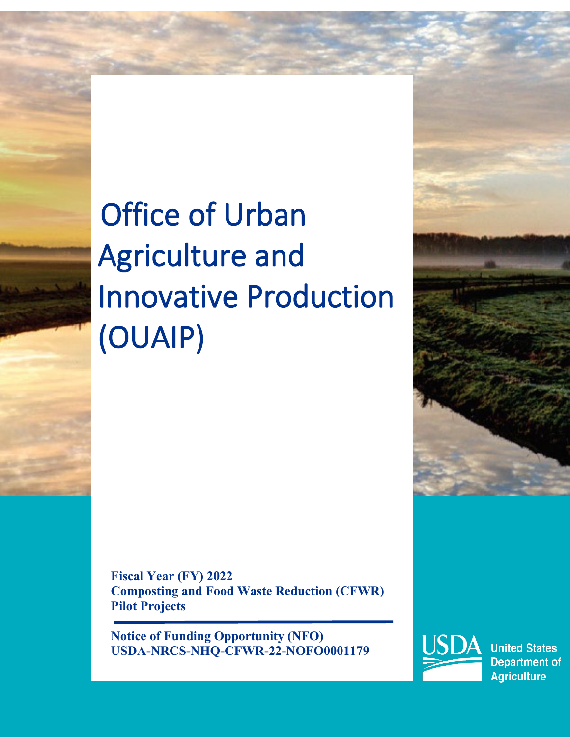# Office of Urban Agriculture and Innovative Production (OUAIP)

**Fiscal Year (FY) 2022 Composting and Food Waste Reduction (CFWR) Pilot Projects** 

**Notice of Funding Opportunity (NFO) USDA-NRCS-NHQ-CFWR-22-NOFO0001179**



**United States Department of Agriculture**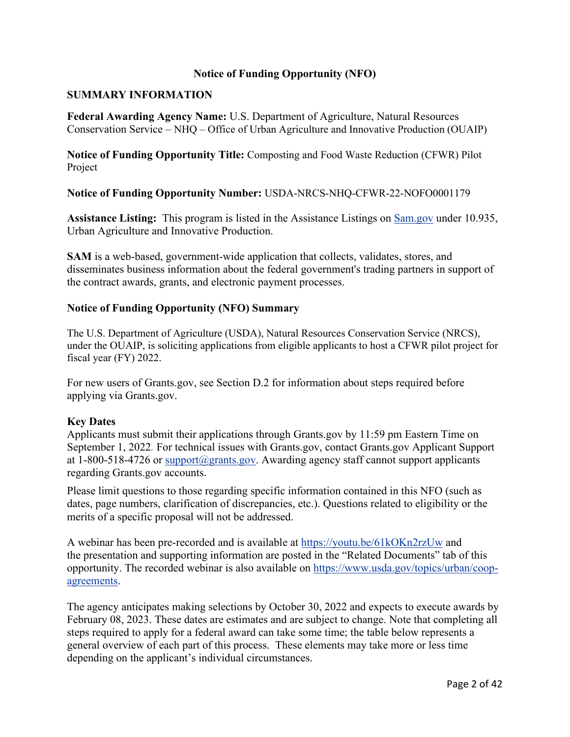#### **Notice of Funding Opportunity (NFO)**

#### **SUMMARY INFORMATION**

**Federal Awarding Agency Name:** U.S. Department of Agriculture, Natural Resources Conservation Service – NHQ – Office of Urban Agriculture and Innovative Production (OUAIP)

**Notice of Funding Opportunity Title:** Composting and Food Waste Reduction (CFWR) Pilot Project

**Notice of Funding Opportunity Number:** USDA-NRCS-NHQ-CFWR-22-NOFO0001179

**Assistance Listing:** This program is listed in the Assistance Listings on [Sam.gov](https://sam.gov/content/home) under 10.935, Urban Agriculture and Innovative Production.

**SAM** is a web-based, government-wide application that collects, validates, stores, and disseminates business information about the federal government's trading partners in support of the contract awards, grants, and electronic payment processes.

#### **Notice of Funding Opportunity (NFO) Summary**

The U.S. Department of Agriculture (USDA), Natural Resources Conservation Service (NRCS), under the OUAIP, is soliciting applications from eligible applicants to host a CFWR pilot project for fiscal year (FY) 2022.

For new users of Grants.gov, see Section D.2 for information about steps required before applying via Grants.gov.

#### **Key Dates**

Applicants must submit their applications through Grants.gov by 11:59 pm Eastern Time on September 1, 2022*.* For technical issues with Grants.gov, contact Grants.gov Applicant Support at 1-800-518-4726 or [support@grants.gov.](mailto:support@grants.gov) Awarding agency staff cannot support applicants regarding Grants.gov accounts.

Please limit questions to those regarding specific information contained in this NFO (such as dates, page numbers, clarification of discrepancies, etc.). Questions related to eligibility or the merits of a specific proposal will not be addressed.

A webinar has been pre-recorded and is available at [https://youtu.be/61kOKn2rzUw](https://gcc02.safelinks.protection.outlook.com/?url=https%3A%2F%2Fyoutu.be%2F61kOKn2rzUw&data=05%7C01%7C%7C63d90fafbdbb4ff5d20208da455b544b%7Ced5b36e701ee4ebc867ee03cfa0d4697%7C0%7C0%7C637898556131443474%7CUnknown%7CTWFpbGZsb3d8eyJWIjoiMC4wLjAwMDAiLCJQIjoiV2luMzIiLCJBTiI6Ik1haWwiLCJXVCI6Mn0%3D%7C3000%7C%7C%7C&sdata=ivhDAZpbIbF6ZfhwpioU6%2FlPWXGRD22bFmcr%2BCnj4us%3D&reserved=0) and the presentation and supporting information are posted in the "Related Documents" tab of this opportunity. The recorded webinar is also available on [https://www.usda.gov/topics/urban/coop](https://www.usda.gov/topics/urban/coop-agreements)[agreements.](https://www.usda.gov/topics/urban/coop-agreements)

The agency anticipates making selections by October 30, 2022 and expects to execute awards by February 08, 2023. These dates are estimates and are subject to change. Note that completing all steps required to apply for a federal award can take some time; the table below represents a general overview of each part of this process. These elements may take more or less time depending on the applicant's individual circumstances.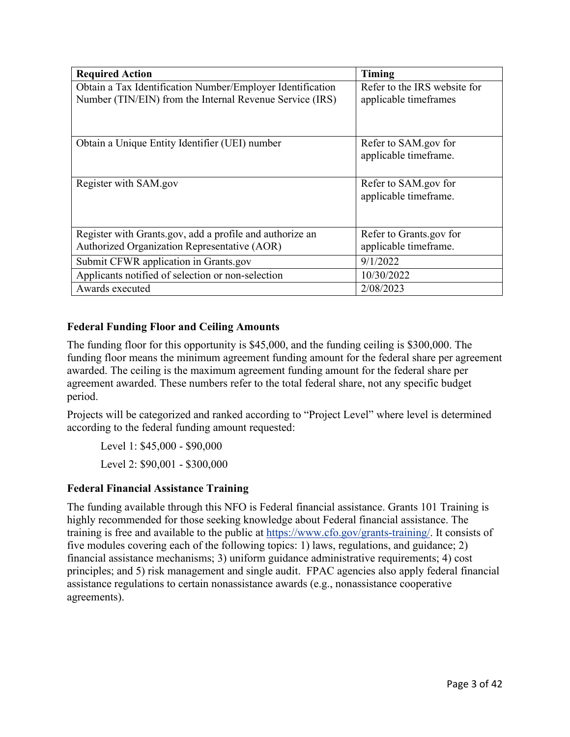| <b>Required Action</b>                                     | Timing                       |
|------------------------------------------------------------|------------------------------|
| Obtain a Tax Identification Number/Employer Identification | Refer to the IRS website for |
| Number (TIN/EIN) from the Internal Revenue Service (IRS)   | applicable timeframes        |
|                                                            |                              |
| Obtain a Unique Entity Identifier (UEI) number             | Refer to SAM.gov for         |
|                                                            | applicable timeframe.        |
|                                                            |                              |
| Register with SAM.gov                                      | Refer to SAM.gov for         |
|                                                            | applicable timeframe.        |
|                                                            |                              |
| Register with Grants.gov, add a profile and authorize an   | Refer to Grants.gov for      |
| Authorized Organization Representative (AOR)               | applicable timeframe.        |
| Submit CFWR application in Grants.gov                      | 9/1/2022                     |
| Applicants notified of selection or non-selection          | 10/30/2022                   |
| Awards executed                                            | 2/08/2023                    |

## **Federal Funding Floor and Ceiling Amounts**

The funding floor for this opportunity is \$45,000, and the funding ceiling is \$300,000. The funding floor means the minimum agreement funding amount for the federal share per agreement awarded. The ceiling is the maximum agreement funding amount for the federal share per agreement awarded. These numbers refer to the total federal share, not any specific budget period.

Projects will be categorized and ranked according to "Project Level" where level is determined according to the federal funding amount requested:

Level 1: \$45,000 - \$90,000 Level 2: \$90,001 - \$300,000

## **Federal Financial Assistance Training**

The funding available through this NFO is Federal financial assistance. Grants 101 Training is highly recommended for those seeking knowledge about Federal financial assistance. The training is free and available to the public at [https://www.cfo.gov/grants-training/](https://www.cfo.gov/grants-training). It consists of five modules covering each of the following topics: 1) laws, regulations, and guidance; 2) financial assistance mechanisms; 3) uniform guidance administrative requirements; 4) cost principles; and 5) risk management and single audit. FPAC agencies also apply federal financial assistance regulations to certain nonassistance awards (e.g., nonassistance cooperative agreements).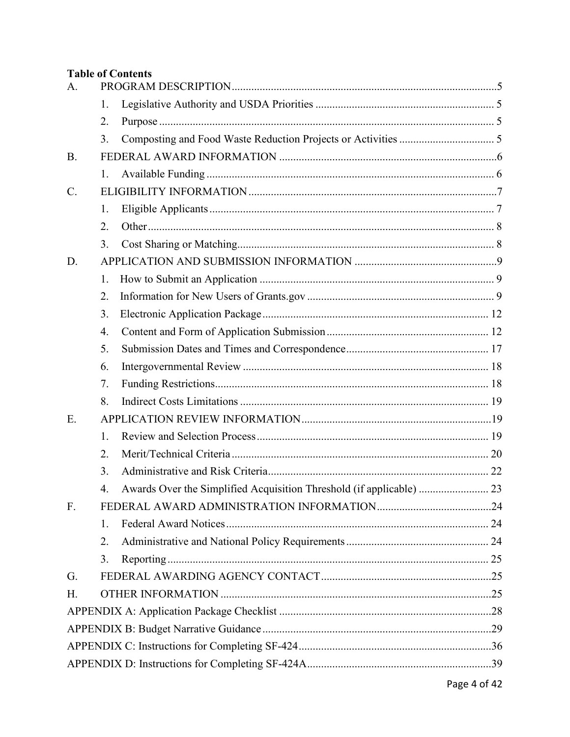# **Table of Contents**

| A.              |    |                                                                      |  |  |  |
|-----------------|----|----------------------------------------------------------------------|--|--|--|
|                 | 1. |                                                                      |  |  |  |
|                 | 2. |                                                                      |  |  |  |
|                 | 3. |                                                                      |  |  |  |
| <b>B.</b>       |    |                                                                      |  |  |  |
|                 | 1. |                                                                      |  |  |  |
| $\mathcal{C}$ . |    |                                                                      |  |  |  |
|                 | 1. |                                                                      |  |  |  |
|                 | 2. |                                                                      |  |  |  |
|                 | 3. |                                                                      |  |  |  |
| D.              |    |                                                                      |  |  |  |
|                 | 1. |                                                                      |  |  |  |
|                 | 2. |                                                                      |  |  |  |
|                 | 3. |                                                                      |  |  |  |
|                 | 4. |                                                                      |  |  |  |
|                 | 5. |                                                                      |  |  |  |
|                 | 6. |                                                                      |  |  |  |
|                 | 7. |                                                                      |  |  |  |
|                 | 8. |                                                                      |  |  |  |
| E.              |    |                                                                      |  |  |  |
|                 | 1. |                                                                      |  |  |  |
|                 | 2. |                                                                      |  |  |  |
|                 | 3. |                                                                      |  |  |  |
|                 | 4. | Awards Over the Simplified Acquisition Threshold (if applicable)  23 |  |  |  |
| F.              |    |                                                                      |  |  |  |
|                 | 1. |                                                                      |  |  |  |
|                 | 2. |                                                                      |  |  |  |
|                 | 3. |                                                                      |  |  |  |
| G.              |    |                                                                      |  |  |  |
| H.              |    |                                                                      |  |  |  |
|                 |    |                                                                      |  |  |  |
|                 |    |                                                                      |  |  |  |
|                 |    |                                                                      |  |  |  |
|                 |    |                                                                      |  |  |  |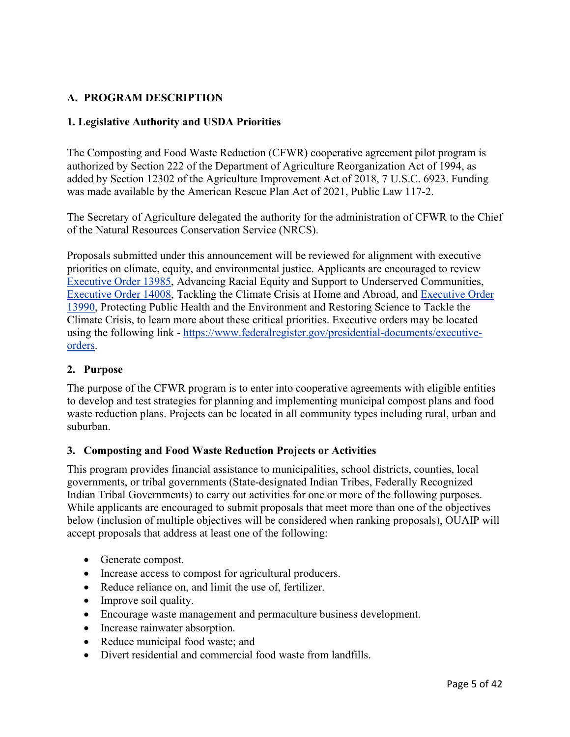# <span id="page-4-0"></span>**A. PROGRAM DESCRIPTION**

#### <span id="page-4-1"></span>**1. Legislative Authority and USDA Priorities**

The Composting and Food Waste Reduction (CFWR) cooperative agreement pilot program is authorized by Section 222 of the Department of Agriculture Reorganization Act of 1994, as added by Section 12302 of the Agriculture Improvement Act of 2018, 7 U.S.C. 6923. Funding was made available by the American Rescue Plan Act of 2021, Public Law 117-2.

The Secretary of Agriculture delegated the authority for the administration of CFWR to the Chief of the Natural Resources Conservation Service (NRCS).

Proposals submitted under this announcement will be reviewed for alignment with executive priorities on climate, equity, and environmental justice. Applicants are encouraged to review [Executive Order 13985,](https://www.whitehouse.gov/briefing-room/presidential-actions/2021/01/20/executive-order-advancing-racial-equity-and-support-for-underserved-communities-through-the-federal-government/) Advancing Racial Equity and Support to Underserved Communities, [Executive Order 14008,](https://www.whitehouse.gov/briefing-room/presidential-actions/2021/01/27/executive-order-on-tackling-the-climate-crisis-at-home-and-abroad/) Tackling the Climate Crisis at Home and Abroad, and [Executive Order](https://www.google.com/search?q=Executive+Order+on+Protecting+Public+Health+and+the+Environment+and+Restoring+Science+to+Tackle+the+Climate+Crisis)  [13990,](https://www.google.com/search?q=Executive+Order+on+Protecting+Public+Health+and+the+Environment+and+Restoring+Science+to+Tackle+the+Climate+Crisis) Protecting Public Health and the Environment and Restoring Science to Tackle the Climate Crisis, to learn more about these critical priorities. Executive orders may be located using the following link - [https://www.federalregister.gov/presidential-documents/executive](https://www.federalregister.gov/presidential-documents/executive-orders)[orders.](https://www.federalregister.gov/presidential-documents/executive-orders)

#### <span id="page-4-2"></span>**2. Purpose**

The purpose of the CFWR program is to enter into cooperative agreements with eligible entities to develop and test strategies for planning and implementing municipal compost plans and food waste reduction plans. Projects can be located in all community types including rural, urban and suburban.

#### <span id="page-4-3"></span>**3. Composting and Food Waste Reduction Projects or Activities**

This program provides financial assistance to municipalities, school districts, counties, local governments, or tribal governments (State-designated Indian Tribes, Federally Recognized Indian Tribal Governments) to carry out activities for one or more of the following purposes. While applicants are encouraged to submit proposals that meet more than one of the objectives below (inclusion of multiple objectives will be considered when ranking proposals), OUAIP will accept proposals that address at least one of the following:

- Generate compost.
- Increase access to compost for agricultural producers.
- Reduce reliance on, and limit the use of, fertilizer.
- Improve soil quality.
- Encourage waste management and permaculture business development.
- Increase rainwater absorption.
- Reduce municipal food waste; and
- Divert residential and commercial food waste from landfills.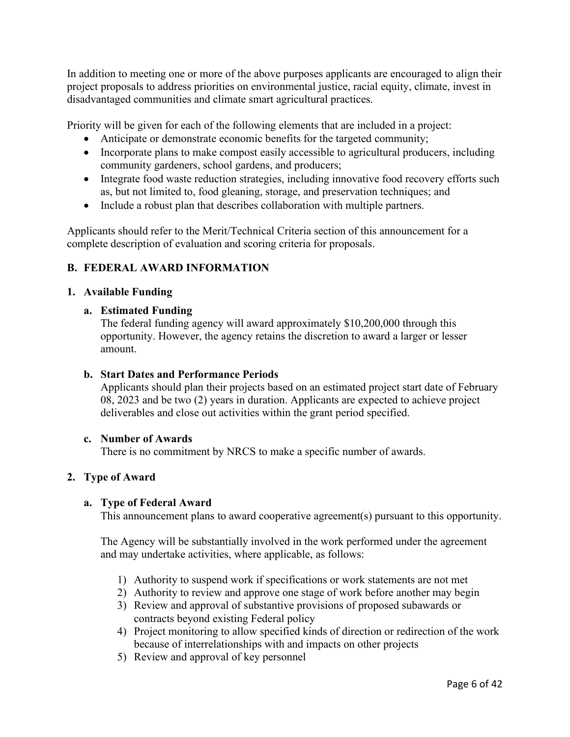In addition to meeting one or more of the above purposes applicants are encouraged to align their project proposals to address priorities on environmental justice, racial equity, climate, invest in disadvantaged communities and climate smart agricultural practices.

Priority will be given for each of the following elements that are included in a project:

- Anticipate or demonstrate economic benefits for the targeted community;
- Incorporate plans to make compost easily accessible to agricultural producers, including community gardeners, school gardens, and producers;
- Integrate food waste reduction strategies, including innovative food recovery efforts such as, but not limited to, food gleaning, storage, and preservation techniques; and
- Include a robust plan that describes collaboration with multiple partners.

Applicants should refer to the Merit/Technical Criteria section of this announcement for a complete description of evaluation and scoring criteria for proposals.

# <span id="page-5-0"></span>**B. FEDERAL AWARD INFORMATION**

#### <span id="page-5-1"></span>**1. Available Funding**

#### **a. Estimated Funding**

The federal funding agency will award approximately \$10,200,000 through this opportunity. However, the agency retains the discretion to award a larger or lesser amount.

#### **b. Start Dates and Performance Periods**

Applicants should plan their projects based on an estimated project start date of February 08, 2023 and be two (2) years in duration. Applicants are expected to achieve project deliverables and close out activities within the grant period specified.

#### **c. Number of Awards**

There is no commitment by NRCS to make a specific number of awards.

## **2. Type of Award**

#### **a. Type of Federal Award**

This announcement plans to award cooperative agreement(s) pursuant to this opportunity.

The Agency will be substantially involved in the work performed under the agreement and may undertake activities, where applicable, as follows:

- 1) Authority to suspend work if specifications or work statements are not met
- 2) Authority to review and approve one stage of work before another may begin
- 3) Review and approval of substantive provisions of proposed subawards or contracts beyond existing Federal policy
- 4) Project monitoring to allow specified kinds of direction or redirection of the work because of interrelationships with and impacts on other projects
- 5) Review and approval of key personnel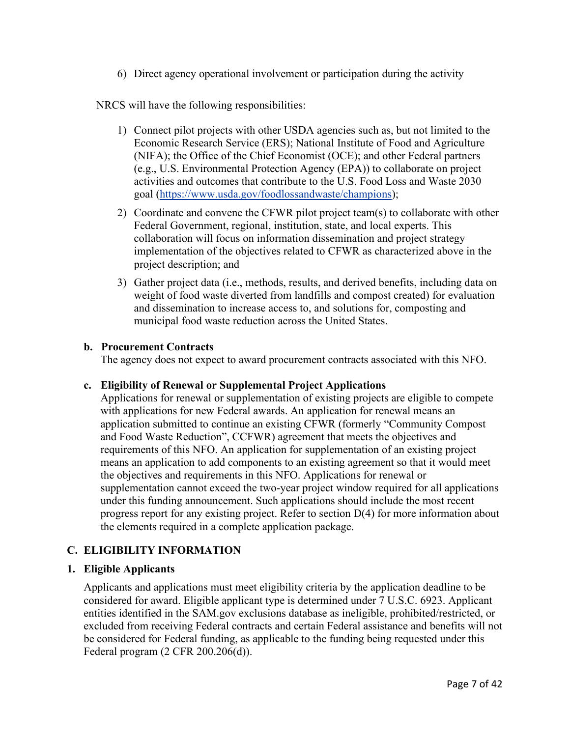6) Direct agency operational involvement or participation during the activity

NRCS will have the following responsibilities:

- 1) Connect pilot projects with other USDA agencies such as, but not limited to the Economic Research Service (ERS); National Institute of Food and Agriculture (NIFA); the Office of the Chief Economist (OCE); and other Federal partners (e.g., U.S. Environmental Protection Agency (EPA)) to collaborate on project activities and outcomes that contribute to the U.S. Food Loss and Waste 2030 goal [\(https://www.usda.gov/foodlossandwaste/champions\)](https://www.usda.gov/foodlossandwaste/champions);
- 2) Coordinate and convene the CFWR pilot project team(s) to collaborate with other Federal Government, regional, institution, state, and local experts. This collaboration will focus on information dissemination and project strategy implementation of the objectives related to CFWR as characterized above in the project description; and
- 3) Gather project data (i.e., methods, results, and derived benefits, including data on weight of food waste diverted from landfills and compost created) for evaluation and dissemination to increase access to, and solutions for, composting and municipal food waste reduction across the United States.

#### **b. Procurement Contracts**

The agency does not expect to award procurement contracts associated with this NFO.

#### **c. Eligibility of Renewal or Supplemental Project Applications**

Applications for renewal or supplementation of existing projects are eligible to compete with applications for new Federal awards. An application for renewal means an application submitted to continue an existing CFWR (formerly "Community Compost and Food Waste Reduction", CCFWR) agreement that meets the objectives and requirements of this NFO. An application for supplementation of an existing project means an application to add components to an existing agreement so that it would meet the objectives and requirements in this NFO. Applications for renewal or supplementation cannot exceed the two-year project window required for all applications under this funding announcement. Such applications should include the most recent progress report for any existing project. Refer to section D(4) for more information about the elements required in a complete application package.

#### <span id="page-6-0"></span>**C. ELIGIBILITY INFORMATION**

#### <span id="page-6-1"></span>**1. Eligible Applicants**

Applicants and applications must meet eligibility criteria by the application deadline to be considered for award. Eligible applicant type is determined under 7 U.S.C. 6923. Applicant entities identified in the SAM.gov exclusions database as ineligible, prohibited/restricted, or excluded from receiving Federal contracts and certain Federal assistance and benefits will not be considered for Federal funding, as applicable to the funding being requested under this Federal program (2 CFR 200.206(d)).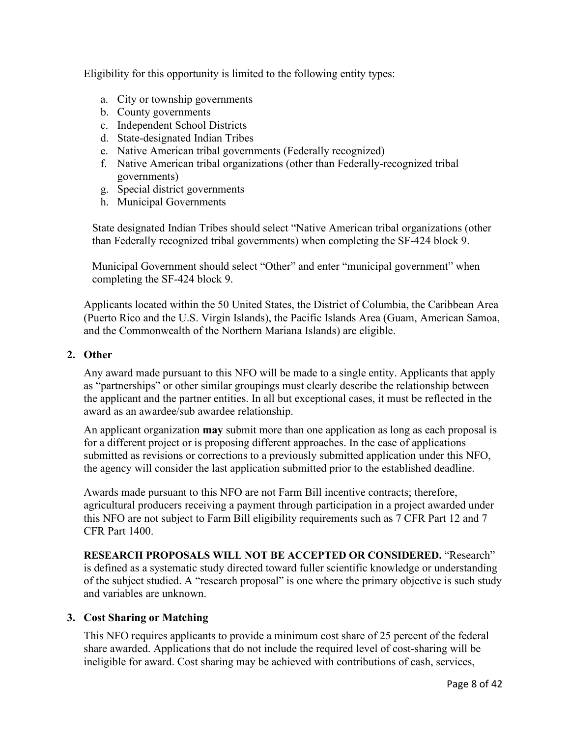Eligibility for this opportunity is limited to the following entity types:

- a. City or township governments
- b. County governments
- c. Independent School Districts
- d. State-designated Indian Tribes
- e. Native American tribal governments (Federally recognized)
- f. Native American tribal organizations (other than Federally-recognized tribal governments)
- g. Special district governments
- h. Municipal Governments

State designated Indian Tribes should select "Native American tribal organizations (other than Federally recognized tribal governments) when completing the SF-424 block 9.

Municipal Government should select "Other" and enter "municipal government" when completing the SF-424 block 9.

Applicants located within the 50 United States, the District of Columbia, the Caribbean Area (Puerto Rico and the U.S. Virgin Islands), the Pacific Islands Area (Guam, American Samoa, and the Commonwealth of the Northern Mariana Islands) are eligible.

#### <span id="page-7-0"></span>**2. Other**

Any award made pursuant to this NFO will be made to a single entity. Applicants that apply as "partnerships" or other similar groupings must clearly describe the relationship between the applicant and the partner entities. In all but exceptional cases, it must be reflected in the award as an awardee/sub awardee relationship.

An applicant organization **may** submit more than one application as long as each proposal is for a different project or is proposing different approaches. In the case of applications submitted as revisions or corrections to a previously submitted application under this NFO, the agency will consider the last application submitted prior to the established deadline.

Awards made pursuant to this NFO are not Farm Bill incentive contracts; therefore, agricultural producers receiving a payment through participation in a project awarded under this NFO are not subject to Farm Bill eligibility requirements such as 7 CFR Part 12 and 7 CFR Part 1400.

**RESEARCH PROPOSALS WILL NOT BE ACCEPTED OR CONSIDERED.** "Research" is defined as a systematic study directed toward fuller scientific knowledge or understanding of the subject studied. A "research proposal" is one where the primary objective is such study and variables are unknown.

#### <span id="page-7-1"></span>**3. Cost Sharing or Matching**

This NFO requires applicants to provide a minimum cost share of 25 percent of the federal share awarded. Applications that do not include the required level of cost-sharing will be ineligible for award. Cost sharing may be achieved with contributions of cash, services,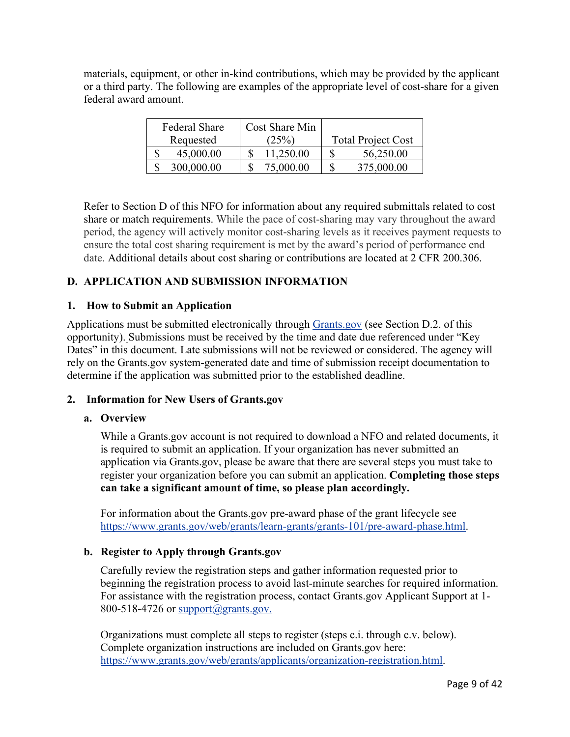materials, equipment, or other in-kind contributions, which may be provided by the applicant or a third party. The following are examples of the appropriate level of cost-share for a given federal award amount.

| <b>Federal Share</b> | Cost Share Min |                           |
|----------------------|----------------|---------------------------|
| Requested            | (25%)          | <b>Total Project Cost</b> |
| 45,000.00            | 11,250.00      | 56,250.00<br>S            |
| 300,000.00           | 75,000.00      | 375,000.00                |

Refer to Section D of this NFO for information about any required submittals related to cost share or match requirements. While the pace of cost-sharing may vary throughout the award period, the agency will actively monitor cost-sharing levels as it receives payment requests to ensure the total cost sharing requirement is met by the award's period of performance end date. Additional details about cost sharing or contributions are located at 2 CFR 200.306.

# <span id="page-8-0"></span>**D. APPLICATION AND SUBMISSION INFORMATION**

#### <span id="page-8-1"></span>**1. How to Submit an Application**

Applications must be submitted electronically through [Grants.gov](https://www.grants.gov/) (see Section D.2. of this opportunity). Submissions must be received by the time and date due referenced under "Key Dates" in this document. Late submissions will not be reviewed or considered. The agency will rely on the Grants.gov system-generated date and time of submission receipt documentation to determine if the application was submitted prior to the established deadline.

## <span id="page-8-2"></span>**2. Information for New Users of Grants.gov**

#### **a. Overview**

While a Grants.gov account is not required to download a NFO and related documents, it is required to submit an application. If your organization has never submitted an application via Grants.gov, please be aware that there are several steps you must take to register your organization before you can submit an application. **Completing those steps can take a significant amount of time, so please plan accordingly.**

For information about the Grants.gov pre-award phase of the grant lifecycle see [https://www.grants.gov/web/grants/learn-grants/grants-101/pre-award-phase.html.](https://www.grants.gov/web/grants/learn-grants/grants-101/pre-award-phase.html)

#### **b. Register to Apply through Grants.gov**

Carefully review the registration steps and gather information requested prior to beginning the registration process to avoid last-minute searches for required information. For assistance with the registration process, contact Grants.gov Applicant Support at 1- 800-518-4726 or [support@grants.gov.](mailto:support@grants.gov)

Organizations must complete all steps to register (steps c.i. through c.v. below). Complete organization instructions are included on Grants.gov here: [https://www.grants.gov/web/grants/applicants/organization-registration.html.](https://www.grants.gov/web/grants/applicants/organization-registration.html)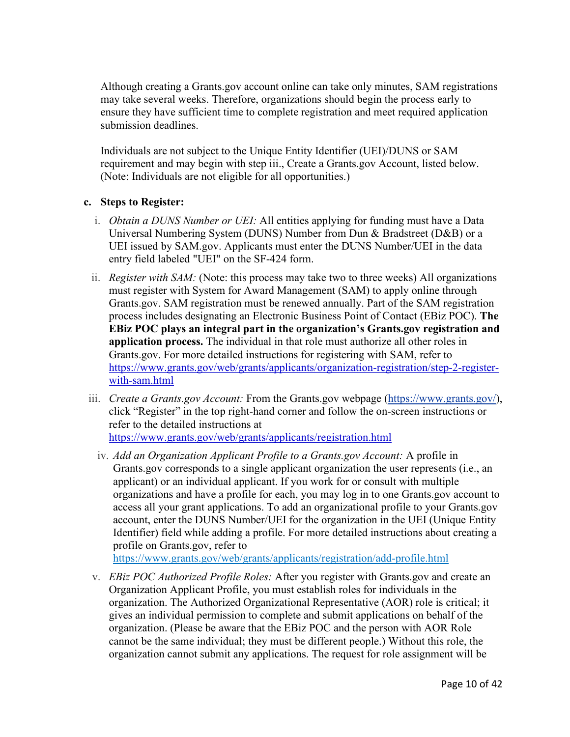Although creating a Grants.gov account online can take only minutes, SAM registrations may take several weeks. Therefore, organizations should begin the process early to ensure they have sufficient time to complete registration and meet required application submission deadlines.

Individuals are not subject to the Unique Entity Identifier (UEI)/DUNS or SAM requirement and may begin with step iii., Create a Grants.gov Account, listed below. (Note: Individuals are not eligible for all opportunities.)

## **c. Steps to Register:**

- i. *Obtain a DUNS Number or UEI:* All entities applying for funding must have a Data Universal Numbering System (DUNS) Number from Dun & Bradstreet (D&B) or a UEI issued by SAM.gov. Applicants must enter the DUNS Number/UEI in the data entry field labeled "UEI" on the SF-424 form.
- ii. *Register with SAM:* (Note: this process may take two to three weeks) All organizations must register with System for Award Management (SAM) to apply online through Grants.gov. SAM registration must be renewed annually. Part of the SAM registration process includes designating an Electronic Business Point of Contact (EBiz POC). **The EBiz POC plays an integral part in the organization's Grants.gov registration and application process.** The individual in that role must authorize all other roles in Grants.gov. For more detailed instructions for registering with SAM, refer to [https://www.grants.gov/web/grants/applicants/organization-registration/step-2-register](https://www.grants.gov/web/grants/applicants/organization-registration/step-2-register-with-sam.html)[with-sam.html](https://www.grants.gov/web/grants/applicants/organization-registration/step-2-register-with-sam.html)
- iii. *Create a Grants.gov Account:* From the Grants.gov webpage [\(https://www.grants.gov/\)](https://www.grants.gov/), click "Register" in the top right-hand corner and follow the on-screen instructions or refer to the detailed instructions at <https://www.grants.gov/web/grants/applicants/registration.html>
	- iv. *Add an Organization Applicant Profile to a Grants.gov Account:* A profile in Grants.gov corresponds to a single applicant organization the user represents (i.e., an applicant) or an individual applicant. If you work for or consult with multiple organizations and have a profile for each, you may log in to one Grants.gov account to access all your grant applications. To add an organizational profile to your Grants.gov account, enter the DUNS Number/UEI for the organization in the UEI (Unique Entity Identifier) field while adding a profile. For more detailed instructions about creating a profile on Grants.gov, refer to

<https://www.grants.gov/web/grants/applicants/registration/add-profile.html>

v. *EBiz POC Authorized Profile Roles:* After you register with Grants.gov and create an Organization Applicant Profile, you must establish roles for individuals in the organization. The Authorized Organizational Representative (AOR) role is critical; it gives an individual permission to complete and submit applications on behalf of the organization. (Please be aware that the EBiz POC and the person with AOR Role cannot be the same individual; they must be different people.) Without this role, the organization cannot submit any applications. The request for role assignment will be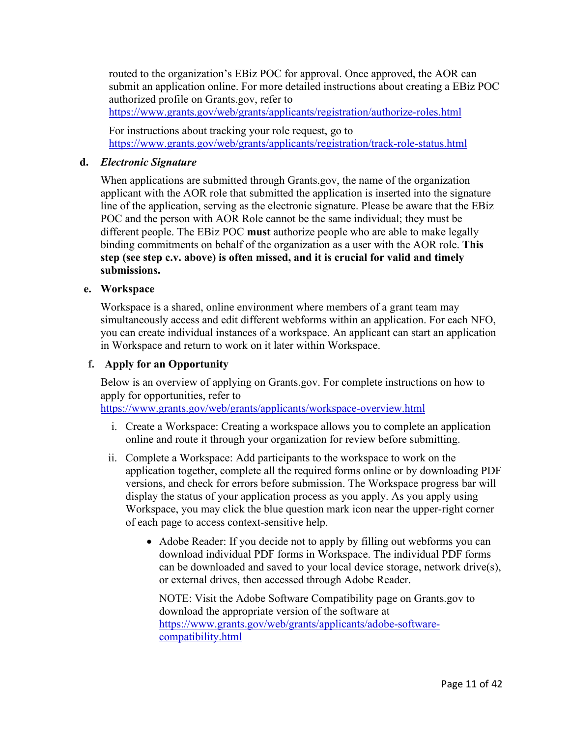routed to the organization's EBiz POC for approval. Once approved, the AOR can submit an application online. For more detailed instructions about creating a EBiz POC authorized profile on Grants.gov, refer to <https://www.grants.gov/web/grants/applicants/registration/authorize-roles.html>

For instructions about tracking your role request, go to

<https://www.grants.gov/web/grants/applicants/registration/track-role-status.html>

#### **d.** *Electronic Signature*

When applications are submitted through Grants.gov, the name of the organization applicant with the AOR role that submitted the application is inserted into the signature line of the application, serving as the electronic signature. Please be aware that the EBiz POC and the person with AOR Role cannot be the same individual; they must be different people. The EBiz POC **must** authorize people who are able to make legally binding commitments on behalf of the organization as a user with the AOR role. **This step (see step c.v. above) is often missed, and it is crucial for valid and timely submissions.**

#### **e. Workspace**

Workspace is a shared, online environment where members of a grant team may simultaneously access and edit different webforms within an application. For each NFO, you can create individual instances of a workspace. An applicant can start an application in Workspace and return to work on it later within Workspace.

#### **f. Apply for an Opportunity**

Below is an overview of applying on Grants.gov. For complete instructions on how to apply for opportunities, refer to

<https://www.grants.gov/web/grants/applicants/workspace-overview.html>

- i. Create a Workspace: Creating a workspace allows you to complete an application online and route it through your organization for review before submitting.
- ii. Complete a Workspace: Add participants to the workspace to work on the application together, complete all the required forms online or by downloading PDF versions, and check for errors before submission. The Workspace progress bar will display the status of your application process as you apply. As you apply using Workspace, you may click the blue question mark icon near the upper-right corner of each page to access context-sensitive help.
	- Adobe Reader: If you decide not to apply by filling out webforms you can download individual PDF forms in Workspace. The individual PDF forms can be downloaded and saved to your local device storage, network drive(s), or external drives, then accessed through Adobe Reader.

NOTE: Visit the Adobe Software Compatibility page on Grants.gov to download the appropriate version of the software at [https://www.grants.gov/web/grants/applicants/adobe-software](https://www.grants.gov/web/grants/applicants/adobe-software-compatibility.html)[compatibility.html](https://www.grants.gov/web/grants/applicants/adobe-software-compatibility.html)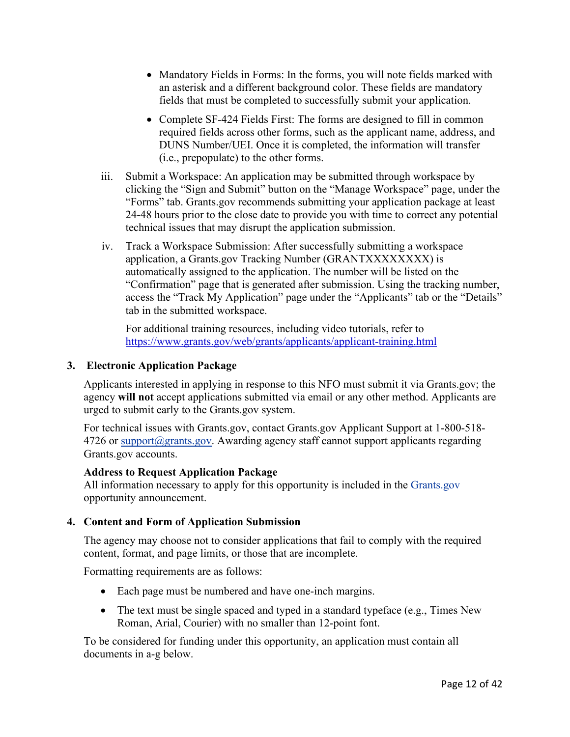- Mandatory Fields in Forms: In the forms, you will note fields marked with an asterisk and a different background color. These fields are mandatory fields that must be completed to successfully submit your application.
- Complete SF-424 Fields First: The forms are designed to fill in common required fields across other forms, such as the applicant name, address, and DUNS Number/UEI. Once it is completed, the information will transfer (i.e., prepopulate) to the other forms.
- iii. Submit a Workspace: An application may be submitted through workspace by clicking the "Sign and Submit" button on the "Manage Workspace" page, under the "Forms" tab. Grants.gov recommends submitting your application package at least 24-48 hours prior to the close date to provide you with time to correct any potential technical issues that may disrupt the application submission.
- iv. Track a Workspace Submission: After successfully submitting a workspace application, a Grants.gov Tracking Number (GRANTXXXXXXXX) is automatically assigned to the application. The number will be listed on the "Confirmation" page that is generated after submission. Using the tracking number, access the "Track My Application" page under the "Applicants" tab or the "Details" tab in the submitted workspace.

For additional training resources, including video tutorials, refer to <https://www.grants.gov/web/grants/applicants/applicant-training.html>

## <span id="page-11-0"></span>**3. Electronic Application Package**

Applicants interested in applying in response to this NFO must submit it via Grants.gov; the agency **will not** accept applications submitted via email or any other method. Applicants are urged to submit early to the Grants.gov system.

For technical issues with Grants.gov, contact Grants.gov Applicant Support at 1-800-518-  $4726$  or support $@$ grants.gov. Awarding agency staff cannot support applicants regarding Grants.gov accounts.

## **Address to Request Application Package**

All information necessary to apply for this opportunity is included in the [Grants.gov](http://www.grants.gov/) opportunity announcement.

# <span id="page-11-1"></span>**4. Content and Form of Application Submission**

The agency may choose not to consider applications that fail to comply with the required content, format, and page limits, or those that are incomplete.

Formatting requirements are as follows:

- Each page must be numbered and have one-inch margins.
- The text must be single spaced and typed in a standard typeface (e.g., Times New Roman, Arial, Courier) with no smaller than 12-point font.

To be considered for funding under this opportunity, an application must contain all documents in a-g below.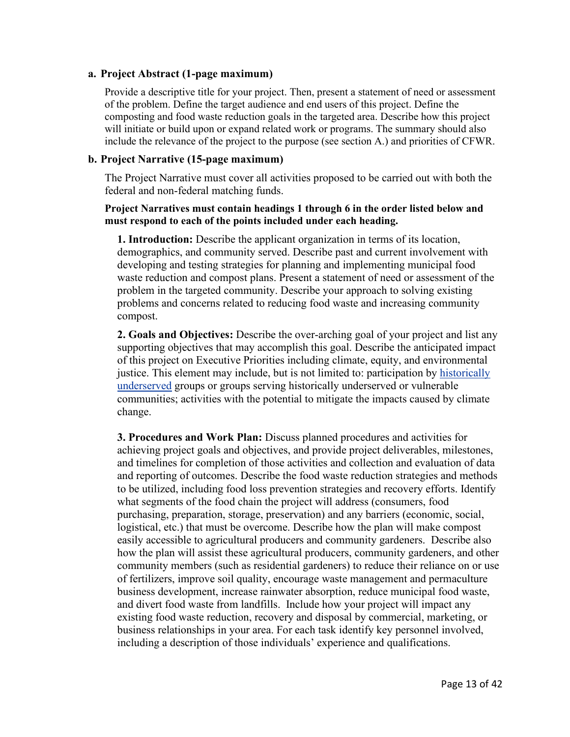#### **a. Project Abstract (1-page maximum)**

Provide a descriptive title for your project. Then, present a statement of need or assessment of the problem. Define the target audience and end users of this project. Define the composting and food waste reduction goals in the targeted area. Describe how this project will initiate or build upon or expand related work or programs. The summary should also include the relevance of the project to the purpose (see section A.) and priorities of CFWR.

#### **b. Project Narrative (15-page maximum)**

The Project Narrative must cover all activities proposed to be carried out with both the federal and non-federal matching funds.

#### **Project Narratives must contain headings 1 through 6 in the order listed below and must respond to each of the points included under each heading.**

**1. Introduction:** Describe the applicant organization in terms of its location, demographics, and community served. Describe past and current involvement with developing and testing strategies for planning and implementing municipal food waste reduction and compost plans. Present a statement of need or assessment of the problem in the targeted community. Describe your approach to solving existing problems and concerns related to reducing food waste and increasing community compost.

**2. Goals and Objectives:** Describe the over-arching goal of your project and list any supporting objectives that may accomplish this goal. Describe the anticipated impact of this project on Executive Priorities including climate, equity, and environmental justice. This element may include, but is not limited to: participation by [historically](https://www.nrcs.usda.gov/wps/portal/nrcs/main/national/people/outreach/slbfr/)  [underserved](https://www.nrcs.usda.gov/wps/portal/nrcs/main/national/people/outreach/slbfr/) groups or groups serving historically underserved or vulnerable communities; activities with the potential to mitigate the impacts caused by climate change.

**3. Procedures and Work Plan:** Discuss planned procedures and activities for achieving project goals and objectives, and provide project deliverables, milestones, and timelines for completion of those activities and collection and evaluation of data and reporting of outcomes. Describe the food waste reduction strategies and methods to be utilized, including food loss prevention strategies and recovery efforts. Identify what segments of the food chain the project will address (consumers, food purchasing, preparation, storage, preservation) and any barriers (economic, social, logistical, etc.) that must be overcome. Describe how the plan will make compost easily accessible to agricultural producers and community gardeners. Describe also how the plan will assist these agricultural producers, community gardeners, and other community members (such as residential gardeners) to reduce their reliance on or use of fertilizers, improve soil quality, encourage waste management and permaculture business development, increase rainwater absorption, reduce municipal food waste, and divert food waste from landfills. Include how your project will impact any existing food waste reduction, recovery and disposal by commercial, marketing, or business relationships in your area. For each task identify key personnel involved, including a description of those individuals' experience and qualifications.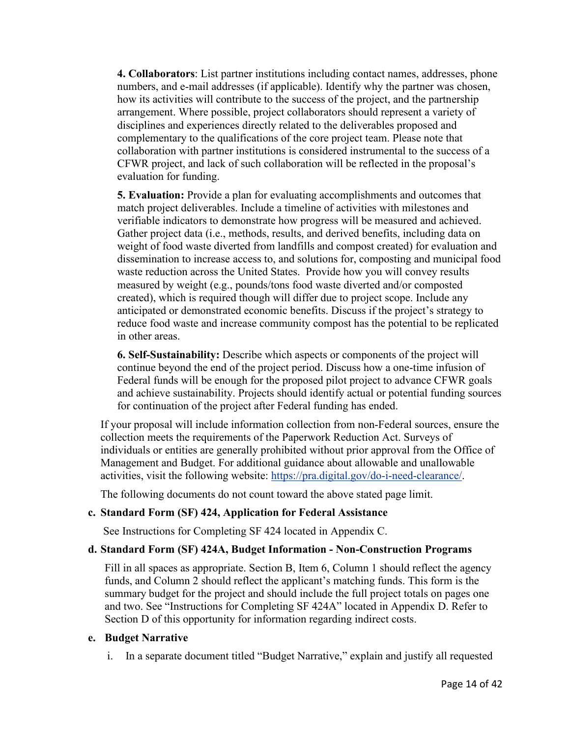**4. Collaborators**: List partner institutions including contact names, addresses, phone numbers, and e-mail addresses (if applicable). Identify why the partner was chosen, how its activities will contribute to the success of the project, and the partnership arrangement. Where possible, project collaborators should represent a variety of disciplines and experiences directly related to the deliverables proposed and complementary to the qualifications of the core project team. Please note that collaboration with partner institutions is considered instrumental to the success of a CFWR project, and lack of such collaboration will be reflected in the proposal's evaluation for funding.

**5. Evaluation:** Provide a plan for evaluating accomplishments and outcomes that match project deliverables. Include a timeline of activities with milestones and verifiable indicators to demonstrate how progress will be measured and achieved. Gather project data (i.e., methods, results, and derived benefits, including data on weight of food waste diverted from landfills and compost created) for evaluation and dissemination to increase access to, and solutions for, composting and municipal food waste reduction across the United States. Provide how you will convey results measured by weight (e.g., pounds/tons food waste diverted and/or composted created), which is required though will differ due to project scope. Include any anticipated or demonstrated economic benefits. Discuss if the project's strategy to reduce food waste and increase community compost has the potential to be replicated in other areas.

**6. Self-Sustainability:** Describe which aspects or components of the project will continue beyond the end of the project period. Discuss how a one-time infusion of Federal funds will be enough for the proposed pilot project to advance CFWR goals and achieve sustainability. Projects should identify actual or potential funding sources for continuation of the project after Federal funding has ended.

If your proposal will include information collection from non-Federal sources, ensure the collection meets the requirements of the Paperwork Reduction Act. Surveys of individuals or entities are generally prohibited without prior approval from the Office of Management and Budget. For additional guidance about allowable and unallowable activities, visit the following website: [https://pra.digital.gov/do-i-need-clearance/.](https://pra.digital.gov/do-i-need-clearance/)

The following documents do not count toward the above stated page limit.

## **c. Standard Form (SF) 424, Application for Federal Assistance**

See Instructions for Completing SF 424 located in Appendix C.

#### **d. Standard Form (SF) 424A, Budget Information - Non-Construction Programs**

Fill in all spaces as appropriate. Section B, Item 6, Column 1 should reflect the agency funds, and Column 2 should reflect the applicant's matching funds. This form is the summary budget for the project and should include the full project totals on pages one and two. See "Instructions for Completing SF 424A" located in Appendix D. Refer to Section D of this opportunity for information regarding indirect costs.

#### **e. Budget Narrative**

i. In a separate document titled "Budget Narrative," explain and justify all requested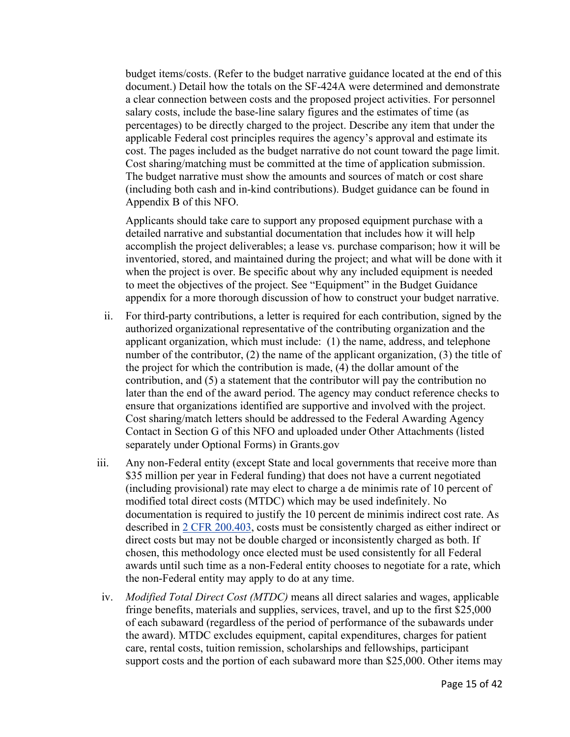budget items/costs. (Refer to the budget narrative guidance located at the end of this document.) Detail how the totals on the SF-424A were determined and demonstrate a clear connection between costs and the proposed project activities. For personnel salary costs, include the base-line salary figures and the estimates of time (as percentages) to be directly charged to the project. Describe any item that under the applicable Federal cost principles requires the agency's approval and estimate its cost. The pages included as the budget narrative do not count toward the page limit. Cost sharing/matching must be committed at the time of application submission. The budget narrative must show the amounts and sources of match or cost share (including both cash and in-kind contributions). Budget guidance can be found in Appendix B of this NFO.

Applicants should take care to support any proposed equipment purchase with a detailed narrative and substantial documentation that includes how it will help accomplish the project deliverables; a lease vs. purchase comparison; how it will be inventoried, stored, and maintained during the project; and what will be done with it when the project is over. Be specific about why any included equipment is needed to meet the objectives of the project. See "Equipment" in the Budget Guidance appendix for a more thorough discussion of how to construct your budget narrative.

- ii. For third-party contributions, a letter is required for each contribution, signed by the authorized organizational representative of the contributing organization and the applicant organization, which must include: (1) the name, address, and telephone number of the contributor, (2) the name of the applicant organization, (3) the title of the project for which the contribution is made, (4) the dollar amount of the contribution, and (5) a statement that the contributor will pay the contribution no later than the end of the award period. The agency may conduct reference checks to ensure that organizations identified are supportive and involved with the project. Cost sharing/match letters should be addressed to the Federal Awarding Agency Contact in Section G of this NFO and uploaded under Other Attachments (listed separately under Optional Forms) in Grants.gov
- iii. Any non-Federal entity (except State and local governments that receive more than \$35 million per year in Federal funding) that does not have a current negotiated (including provisional) rate may elect to charge a de minimis rate of 10 percent of modified total direct costs (MTDC) which may be used indefinitely. No documentation is required to justify the 10 percent de minimis indirect cost rate. As described in [2 CFR 200.403,](https://www.ecfr.gov/current/title-2/section-200.403) costs must be consistently charged as either indirect or direct costs but may not be double charged or inconsistently charged as both. If chosen, this methodology once elected must be used consistently for all Federal awards until such time as a non-Federal entity chooses to negotiate for a rate, which the non-Federal entity may apply to do at any time.
- iv. *Modified Total Direct Cost (MTDC)* means all direct salaries and wages, applicable fringe benefits, materials and supplies, services, travel, and up to the first \$25,000 of each subaward (regardless of the period of performance of the subawards under the award). MTDC excludes equipment, capital expenditures, charges for patient care, rental costs, tuition remission, scholarships and fellowships, participant support costs and the portion of each subaward more than \$25,000. Other items may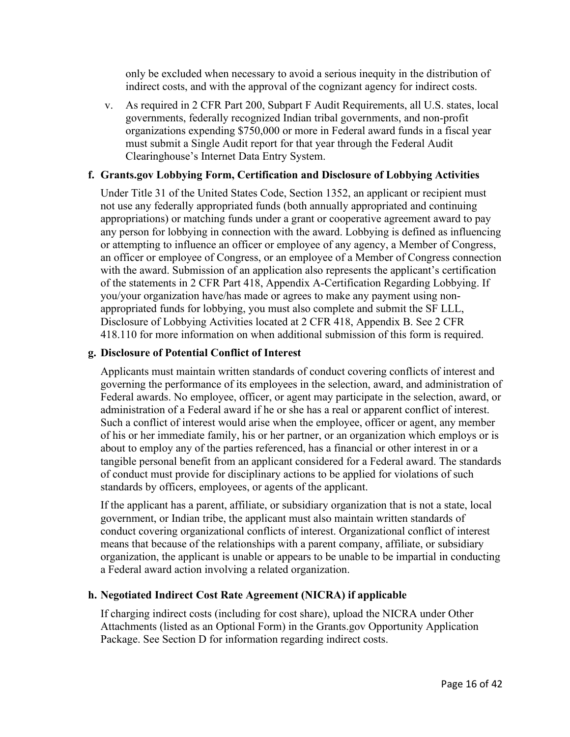only be excluded when necessary to avoid a serious inequity in the distribution of indirect costs, and with the approval of the cognizant agency for indirect costs.

v. As required in 2 CFR Part 200, Subpart F Audit Requirements, all U.S. states, local governments, federally recognized Indian tribal governments, and non-profit organizations expending \$750,000 or more in Federal award funds in a fiscal year must submit a Single Audit report for that year through the Federal Audit Clearinghouse's Internet Data Entry System.

#### **f. Grants.gov Lobbying Form, Certification and Disclosure of Lobbying Activities**

Under Title 31 of the United States Code, Section 1352, an applicant or recipient must not use any federally appropriated funds (both annually appropriated and continuing appropriations) or matching funds under a grant or cooperative agreement award to pay any person for lobbying in connection with the award. Lobbying is defined as influencing or attempting to influence an officer or employee of any agency, a Member of Congress, an officer or employee of Congress, or an employee of a Member of Congress connection with the award. Submission of an application also represents the applicant's certification of the statements in 2 CFR Part 418, Appendix A-Certification Regarding Lobbying. If you/your organization have/has made or agrees to make any payment using nonappropriated funds for lobbying, you must also complete and submit the SF LLL, Disclosure of Lobbying Activities located at 2 CFR 418, Appendix B. See 2 CFR 418.110 for more information on when additional submission of this form is required.

#### **g. Disclosure of Potential Conflict of Interest**

Applicants must maintain written standards of conduct covering conflicts of interest and governing the performance of its employees in the selection, award, and administration of Federal awards. No employee, officer, or agent may participate in the selection, award, or administration of a Federal award if he or she has a real or apparent conflict of interest. Such a conflict of interest would arise when the employee, officer or agent, any member of his or her immediate family, his or her partner, or an organization which employs or is about to employ any of the parties referenced, has a financial or other interest in or a tangible personal benefit from an applicant considered for a Federal award. The standards of conduct must provide for disciplinary actions to be applied for violations of such standards by officers, employees, or agents of the applicant.

If the applicant has a parent, affiliate, or subsidiary organization that is not a state, local government, or Indian tribe, the applicant must also maintain written standards of conduct covering organizational conflicts of interest. Organizational conflict of interest means that because of the relationships with a parent company, affiliate, or subsidiary organization, the applicant is unable or appears to be unable to be impartial in conducting a Federal award action involving a related organization.

## **h. Negotiated Indirect Cost Rate Agreement (NICRA) if applicable**

If charging indirect costs (including for cost share), upload the NICRA under Other Attachments (listed as an Optional Form) in the Grants.gov Opportunity Application Package. See Section D for information regarding indirect costs.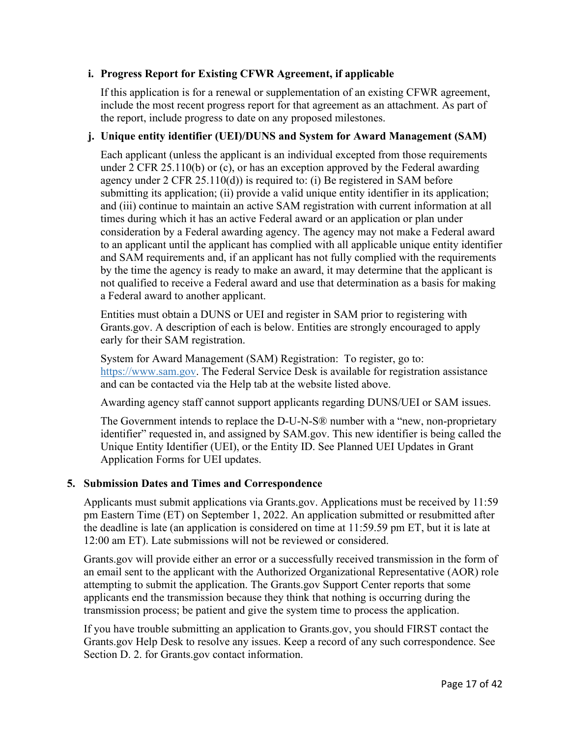## **i. Progress Report for Existing CFWR Agreement, if applicable**

If this application is for a renewal or supplementation of an existing CFWR agreement, include the most recent progress report for that agreement as an attachment. As part of the report, include progress to date on any proposed milestones.

## **j. Unique entity identifier (UEI)/DUNS and System for Award Management (SAM)**

Each applicant (unless the applicant is an individual excepted from those requirements under 2 CFR 25.110(b) or (c), or has an exception approved by the Federal awarding agency under 2 CFR 25.110(d)) is required to: (i) Be registered in SAM before submitting its application; (ii) provide a valid unique entity identifier in its application; and (iii) continue to maintain an active SAM registration with current information at all times during which it has an active Federal award or an application or plan under consideration by a Federal awarding agency. The agency may not make a Federal award to an applicant until the applicant has complied with all applicable unique entity identifier and SAM requirements and, if an applicant has not fully complied with the requirements by the time the agency is ready to make an award, it may determine that the applicant is not qualified to receive a Federal award and use that determination as a basis for making a Federal award to another applicant.

Entities must obtain a DUNS or UEI and register in SAM prior to registering with Grants.gov. A description of each is below. Entities are strongly encouraged to apply early for their SAM registration.

System for Award Management (SAM) Registration: To register, go to: https://www.sam.gov. The Federal Service Desk is available for registration assistance and can be contacted via the Help tab at the website listed above.

Awarding agency staff cannot support applicants regarding DUNS/UEI or SAM issues.

The Government intends to replace the D-U-N-S® number with a "new, non-proprietary identifier" requested in, and assigned by SAM.gov. This new identifier is being called the Unique Entity Identifier (UEI), or the Entity ID. See Planned UEI Updates in Grant Application Forms for UEI updates.

# <span id="page-16-0"></span>**5. Submission Dates and Times and Correspondence**

Applicants must submit applications via Grants.gov. Applications must be received by 11:59 pm Eastern Time (ET) on September 1, 2022. An application submitted or resubmitted after the deadline is late (an application is considered on time at 11:59.59 pm ET, but it is late at 12:00 am ET). Late submissions will not be reviewed or considered.

Grants.gov will provide either an error or a successfully received transmission in the form of an email sent to the applicant with the Authorized Organizational Representative (AOR) role attempting to submit the application. The Grants.gov Support Center reports that some applicants end the transmission because they think that nothing is occurring during the transmission process; be patient and give the system time to process the application.

If you have trouble submitting an application to Grants.gov, you should FIRST contact the Grants.gov Help Desk to resolve any issues. Keep a record of any such correspondence. See Section D. 2. for Grants.gov contact information.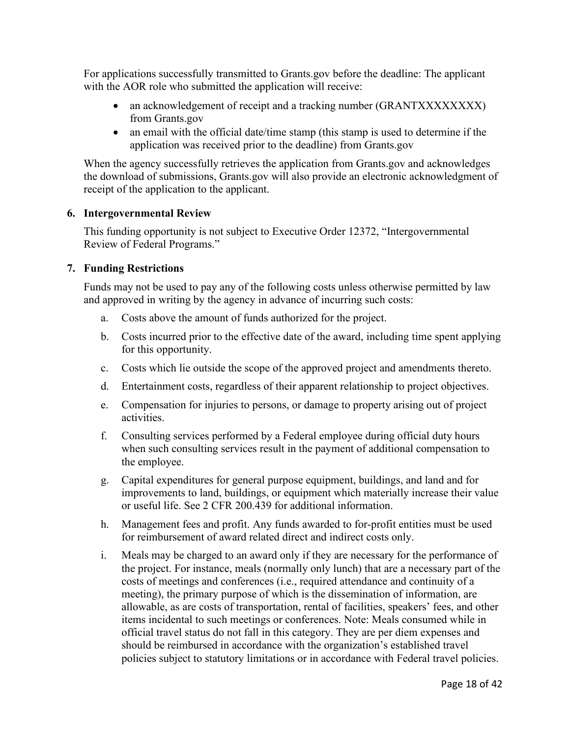For applications successfully transmitted to Grants.gov before the deadline: The applicant with the AOR role who submitted the application will receive:

- an acknowledgement of receipt and a tracking number (GRANTXXXXXXXX) from Grants.gov
- an email with the official date/time stamp (this stamp is used to determine if the application was received prior to the deadline) from Grants.gov

When the agency successfully retrieves the application from Grants.gov and acknowledges the download of submissions, Grants.gov will also provide an electronic acknowledgment of receipt of the application to the applicant.

#### <span id="page-17-0"></span>**6. Intergovernmental Review**

This funding opportunity is not subject to Executive Order 12372, "Intergovernmental Review of Federal Programs."

#### <span id="page-17-1"></span>**7. Funding Restrictions**

Funds may not be used to pay any of the following costs unless otherwise permitted by law and approved in writing by the agency in advance of incurring such costs:

- a. Costs above the amount of funds authorized for the project.
- b. Costs incurred prior to the effective date of the award, including time spent applying for this opportunity.
- c. Costs which lie outside the scope of the approved project and amendments thereto.
- d. Entertainment costs, regardless of their apparent relationship to project objectives.
- e. Compensation for injuries to persons, or damage to property arising out of project activities.
- f. Consulting services performed by a Federal employee during official duty hours when such consulting services result in the payment of additional compensation to the employee.
- g. Capital expenditures for general purpose equipment, buildings, and land and for improvements to land, buildings, or equipment which materially increase their value or useful life. See 2 CFR 200.439 for additional information.
- h. Management fees and profit. Any funds awarded to for-profit entities must be used for reimbursement of award related direct and indirect costs only.
- i. Meals may be charged to an award only if they are necessary for the performance of the project. For instance, meals (normally only lunch) that are a necessary part of the costs of meetings and conferences (i.e., required attendance and continuity of a meeting), the primary purpose of which is the dissemination of information, are allowable, as are costs of transportation, rental of facilities, speakers' fees, and other items incidental to such meetings or conferences. Note: Meals consumed while in official travel status do not fall in this category. They are per diem expenses and should be reimbursed in accordance with the organization's established travel policies subject to statutory limitations or in accordance with Federal travel policies.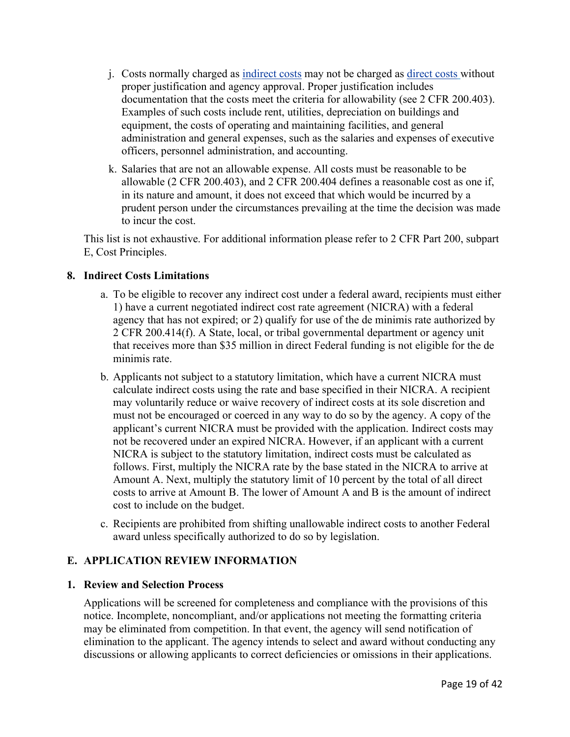- j. Costs normally charged as [indirect costs](https://www.ecfr.gov/current/title-2/subtitle-A/chapter-II/part-200#200.414) may not be charged as [direct costs](https://www.ecfr.gov/cgi-bin/text-idx?SID=43998412b2085db150f66a3e62296ad8&mc=true&node=pt2.1.200&rgn=div5#se2.1.200_1413) without proper justification and agency approval. Proper justification includes documentation that the costs meet the criteria for allowability (see 2 CFR 200.403). Examples of such costs include rent, utilities, depreciation on buildings and equipment, the costs of operating and maintaining facilities, and general administration and general expenses, such as the salaries and expenses of executive officers, personnel administration, and accounting.
- k. Salaries that are not an allowable expense. All costs must be reasonable to be allowable (2 CFR 200.403), and 2 CFR 200.404 defines a reasonable cost as one if, in its nature and amount, it does not exceed that which would be incurred by a prudent person under the circumstances prevailing at the time the decision was made to incur the cost.

This list is not exhaustive. For additional information please refer to 2 CFR Part 200, subpart E, Cost Principles.

#### <span id="page-18-0"></span>**8. Indirect Costs Limitations**

- a. To be eligible to recover any indirect cost under a federal award, recipients must either 1) have a current negotiated indirect cost rate agreement (NICRA) with a federal agency that has not expired; or 2) qualify for use of the de minimis rate authorized by 2 CFR 200.414(f). A State, local, or tribal governmental department or agency unit that receives more than \$35 million in direct Federal funding is not eligible for the de minimis rate.
- b. Applicants not subject to a statutory limitation, which have a current NICRA must calculate indirect costs using the rate and base specified in their NICRA. A recipient may voluntarily reduce or waive recovery of indirect costs at its sole discretion and must not be encouraged or coerced in any way to do so by the agency. A copy of the applicant's current NICRA must be provided with the application. Indirect costs may not be recovered under an expired NICRA. However, if an applicant with a current NICRA is subject to the statutory limitation, indirect costs must be calculated as follows. First, multiply the NICRA rate by the base stated in the NICRA to arrive at Amount A. Next, multiply the statutory limit of 10 percent by the total of all direct costs to arrive at Amount B. The lower of Amount A and B is the amount of indirect cost to include on the budget.
- c. Recipients are prohibited from shifting unallowable indirect costs to another Federal award unless specifically authorized to do so by legislation.

## <span id="page-18-1"></span>**E. APPLICATION REVIEW INFORMATION**

#### <span id="page-18-2"></span>**1. Review and Selection Process**

Applications will be screened for completeness and compliance with the provisions of this notice. Incomplete, noncompliant, and/or applications not meeting the formatting criteria may be eliminated from competition. In that event, the agency will send notification of elimination to the applicant. The agency intends to select and award without conducting any discussions or allowing applicants to correct deficiencies or omissions in their applications.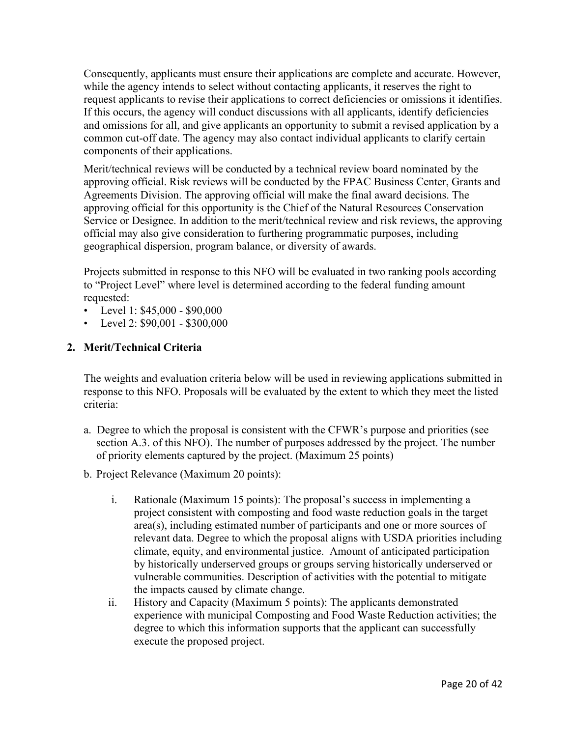Consequently, applicants must ensure their applications are complete and accurate. However, while the agency intends to select without contacting applicants, it reserves the right to request applicants to revise their applications to correct deficiencies or omissions it identifies. If this occurs, the agency will conduct discussions with all applicants, identify deficiencies and omissions for all, and give applicants an opportunity to submit a revised application by a common cut-off date. The agency may also contact individual applicants to clarify certain components of their applications.

Merit/technical reviews will be conducted by a technical review board nominated by the approving official. Risk reviews will be conducted by the FPAC Business Center, Grants and Agreements Division. The approving official will make the final award decisions. The approving official for this opportunity is the Chief of the Natural Resources Conservation Service or Designee. In addition to the merit/technical review and risk reviews, the approving official may also give consideration to furthering programmatic purposes, including geographical dispersion, program balance, or diversity of awards.

Projects submitted in response to this NFO will be evaluated in two ranking pools according to "Project Level" where level is determined according to the federal funding amount requested:

- Level 1:  $$45,000 $90,000$
- Level 2:  $$90,001 $300,000$

## <span id="page-19-0"></span>**2. Merit/Technical Criteria**

The weights and evaluation criteria below will be used in reviewing applications submitted in response to this NFO. Proposals will be evaluated by the extent to which they meet the listed criteria:

- a. Degree to which the proposal is consistent with the CFWR's purpose and priorities (see section A.3. of this NFO). The number of purposes addressed by the project. The number of priority elements captured by the project. (Maximum 25 points)
- b. Project Relevance (Maximum 20 points):
	- i. Rationale (Maximum 15 points): The proposal's success in implementing a project consistent with composting and food waste reduction goals in the target area(s), including estimated number of participants and one or more sources of relevant data. Degree to which the proposal aligns with USDA priorities including climate, equity, and environmental justice. Amount of anticipated participation by historically underserved groups or groups serving historically underserved or vulnerable communities. Description of activities with the potential to mitigate the impacts caused by climate change.
	- ii. History and Capacity (Maximum 5 points): The applicants demonstrated experience with municipal Composting and Food Waste Reduction activities; the degree to which this information supports that the applicant can successfully execute the proposed project.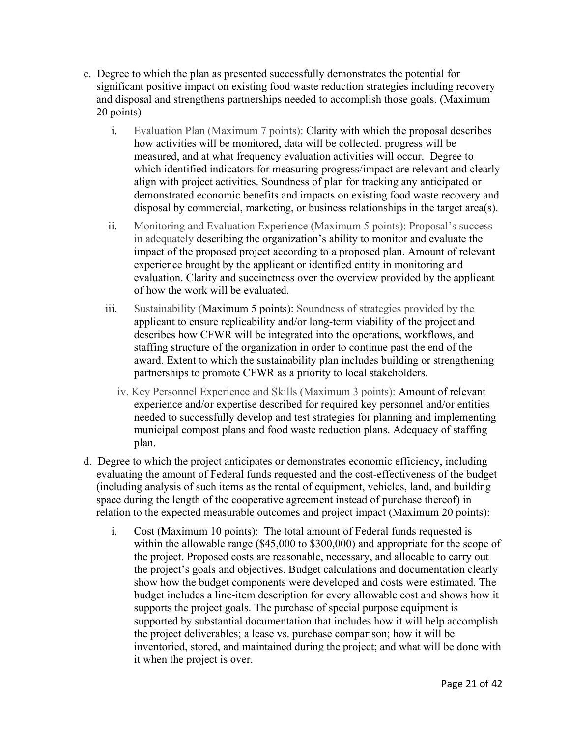- c. Degree to which the plan as presented successfully demonstrates the potential for significant positive impact on existing food waste reduction strategies including recovery and disposal and strengthens partnerships needed to accomplish those goals. (Maximum 20 points)
	- i. Evaluation Plan (Maximum 7 points): Clarity with which the proposal describes how activities will be monitored, data will be collected. progress will be measured, and at what frequency evaluation activities will occur. Degree to which identified indicators for measuring progress/impact are relevant and clearly align with project activities. Soundness of plan for tracking any anticipated or demonstrated economic benefits and impacts on existing food waste recovery and disposal by commercial, marketing, or business relationships in the target area(s).
	- ii. Monitoring and Evaluation Experience (Maximum 5 points): Proposal's success in adequately describing the organization's ability to monitor and evaluate the impact of the proposed project according to a proposed plan. Amount of relevant experience brought by the applicant or identified entity in monitoring and evaluation. Clarity and succinctness over the overview provided by the applicant of how the work will be evaluated.
	- iii. Sustainability (Maximum 5 points): Soundness of strategies provided by the applicant to ensure replicability and/or long-term viability of the project and describes how CFWR will be integrated into the operations, workflows, and staffing structure of the organization in order to continue past the end of the award. Extent to which the sustainability plan includes building or strengthening partnerships to promote CFWR as a priority to local stakeholders.
		- iv. Key Personnel Experience and Skills (Maximum 3 points): Amount of relevant experience and/or expertise described for required key personnel and/or entities needed to successfully develop and test strategies for planning and implementing municipal compost plans and food waste reduction plans. Adequacy of staffing plan.
- d. Degree to which the project anticipates or demonstrates economic efficiency, including evaluating the amount of Federal funds requested and the cost-effectiveness of the budget (including analysis of such items as the rental of equipment, vehicles, land, and building space during the length of the cooperative agreement instead of purchase thereof) in relation to the expected measurable outcomes and project impact (Maximum 20 points):
	- i. Cost (Maximum 10 points): The total amount of Federal funds requested is within the allowable range (\$45,000 to \$300,000) and appropriate for the scope of the project. Proposed costs are reasonable, necessary, and allocable to carry out the project's goals and objectives. Budget calculations and documentation clearly show how the budget components were developed and costs were estimated. The budget includes a line-item description for every allowable cost and shows how it supports the project goals. The purchase of special purpose equipment is supported by substantial documentation that includes how it will help accomplish the project deliverables; a lease vs. purchase comparison; how it will be inventoried, stored, and maintained during the project; and what will be done with it when the project is over.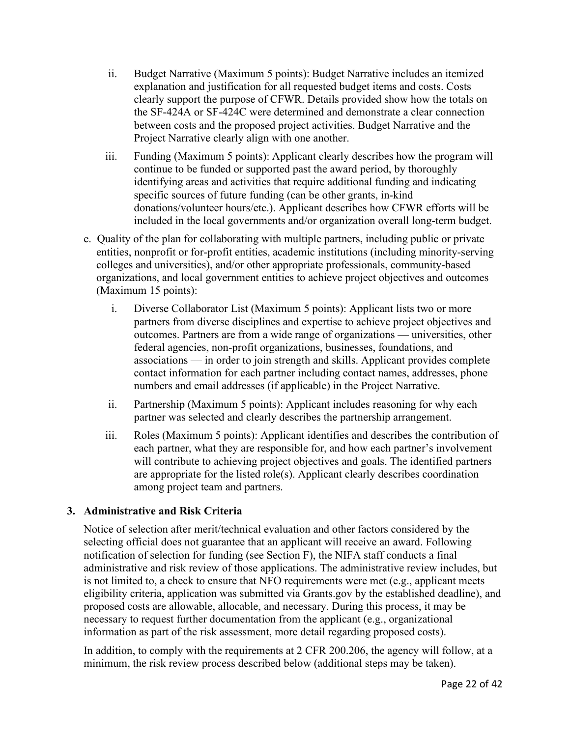- ii. Budget Narrative (Maximum 5 points): Budget Narrative includes an itemized explanation and justification for all requested budget items and costs. Costs clearly support the purpose of CFWR. Details provided show how the totals on the SF-424A or SF-424C were determined and demonstrate a clear connection between costs and the proposed project activities. Budget Narrative and the Project Narrative clearly align with one another.
- iii. Funding (Maximum 5 points): Applicant clearly describes how the program will continue to be funded or supported past the award period, by thoroughly identifying areas and activities that require additional funding and indicating specific sources of future funding (can be other grants, in-kind donations/volunteer hours/etc.). Applicant describes how CFWR efforts will be included in the local governments and/or organization overall long-term budget.
- e. Quality of the plan for collaborating with multiple partners, including public or private entities, nonprofit or for-profit entities, academic institutions (including minority-serving colleges and universities), and/or other appropriate professionals, community-based organizations, and local government entities to achieve project objectives and outcomes (Maximum 15 points):
	- i. Diverse Collaborator List (Maximum 5 points): Applicant lists two or more partners from diverse disciplines and expertise to achieve project objectives and outcomes. Partners are from a wide range of organizations — universities, other federal agencies, non-profit organizations, businesses, foundations, and associations — in order to join strength and skills. Applicant provides complete contact information for each partner including contact names, addresses, phone numbers and email addresses (if applicable) in the Project Narrative.
	- ii. Partnership (Maximum 5 points): Applicant includes reasoning for why each partner was selected and clearly describes the partnership arrangement.
	- iii. Roles (Maximum 5 points): Applicant identifies and describes the contribution of each partner, what they are responsible for, and how each partner's involvement will contribute to achieving project objectives and goals. The identified partners are appropriate for the listed role(s). Applicant clearly describes coordination among project team and partners.

## <span id="page-21-0"></span>**3. Administrative and Risk Criteria**

Notice of selection after merit/technical evaluation and other factors considered by the selecting official does not guarantee that an applicant will receive an award. Following notification of selection for funding (see Section F), the NIFA staff conducts a final administrative and risk review of those applications. The administrative review includes, but is not limited to, a check to ensure that NFO requirements were met (e.g., applicant meets eligibility criteria, application was submitted via Grants.gov by the established deadline), and proposed costs are allowable, allocable, and necessary. During this process, it may be necessary to request further documentation from the applicant (e.g., organizational information as part of the risk assessment, more detail regarding proposed costs).

In addition, to comply with the requirements at 2 CFR 200.206, the agency will follow, at a minimum, the risk review process described below (additional steps may be taken).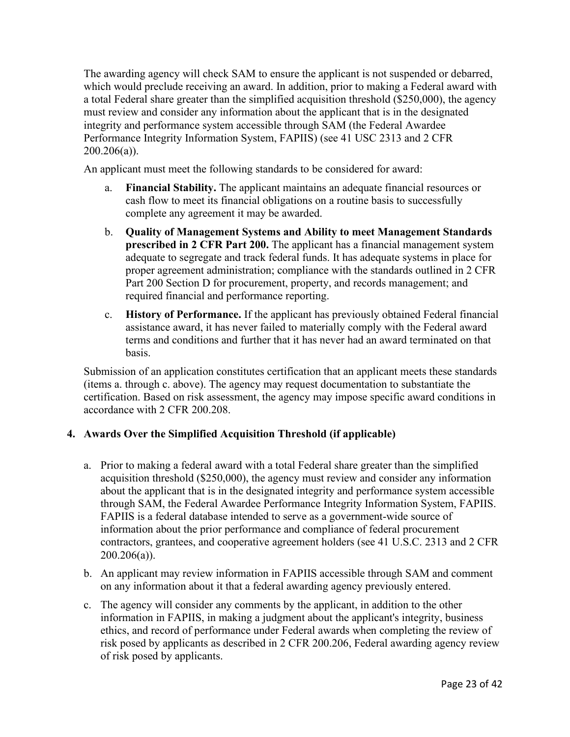The awarding agency will check SAM to ensure the applicant is not suspended or debarred, which would preclude receiving an award. In addition, prior to making a Federal award with a total Federal share greater than the simplified acquisition threshold (\$250,000), the agency must review and consider any information about the applicant that is in the designated integrity and performance system accessible through SAM (the Federal Awardee Performance Integrity Information System, FAPIIS) (see 41 USC 2313 and 2 CFR  $200.206(a)$ ).

An applicant must meet the following standards to be considered for award:

- a. **Financial Stability.** The applicant maintains an adequate financial resources or cash flow to meet its financial obligations on a routine basis to successfully complete any agreement it may be awarded.
- b. **Quality of Management Systems and Ability to meet Management Standards prescribed in 2 CFR Part 200.** The applicant has a financial management system adequate to segregate and track federal funds. It has adequate systems in place for proper agreement administration; compliance with the standards outlined in 2 CFR Part 200 Section D for procurement, property, and records management; and required financial and performance reporting.
- c. **History of Performance.** If the applicant has previously obtained Federal financial assistance award, it has never failed to materially comply with the Federal award terms and conditions and further that it has never had an award terminated on that basis.

Submission of an application constitutes certification that an applicant meets these standards (items a. through c. above). The agency may request documentation to substantiate the certification. Based on risk assessment, the agency may impose specific award conditions in accordance with 2 CFR 200.208.

# <span id="page-22-0"></span>**4. Awards Over the Simplified Acquisition Threshold (if applicable)**

- a. Prior to making a federal award with a total Federal share greater than the simplified acquisition threshold (\$250,000), the agency must review and consider any information about the applicant that is in the designated integrity and performance system accessible through SAM, the Federal Awardee Performance Integrity Information System, FAPIIS. FAPIIS is a federal database intended to serve as a government-wide source of information about the prior performance and compliance of federal procurement contractors, grantees, and cooperative agreement holders (see 41 U.S.C. 2313 and 2 CFR  $200.206(a)$ ).
- b. An applicant may review information in FAPIIS accessible through SAM and comment on any information about it that a federal awarding agency previously entered.
- c. The agency will consider any comments by the applicant, in addition to the other information in FAPIIS, in making a judgment about the applicant's integrity, business ethics, and record of performance under Federal awards when completing the review of risk posed by applicants as described in 2 CFR 200.206, Federal awarding agency review of risk posed by applicants.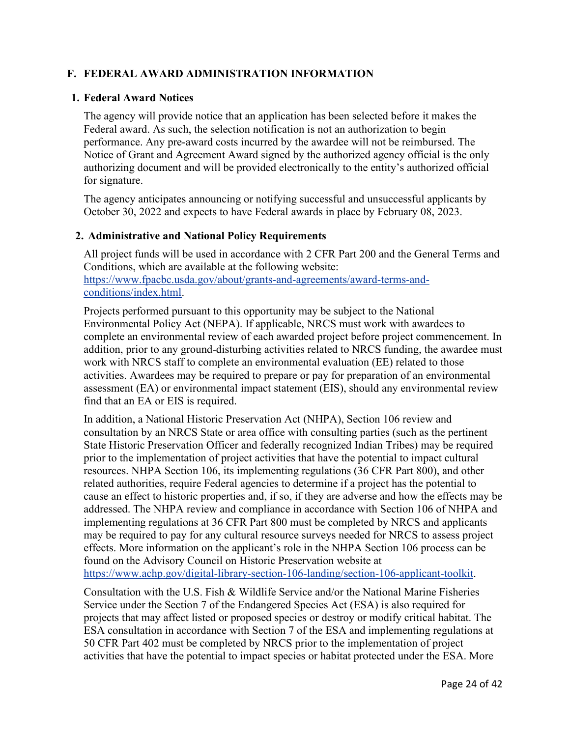## <span id="page-23-0"></span>**F. FEDERAL AWARD ADMINISTRATION INFORMATION**

#### <span id="page-23-1"></span>**1. Federal Award Notices**

The agency will provide notice that an application has been selected before it makes the Federal award. As such, the selection notification is not an authorization to begin performance. Any pre-award costs incurred by the awardee will not be reimbursed. The Notice of Grant and Agreement Award signed by the authorized agency official is the only authorizing document and will be provided electronically to the entity's authorized official for signature.

The agency anticipates announcing or notifying successful and unsuccessful applicants by October 30, 2022 and expects to have Federal awards in place by February 08, 2023.

#### <span id="page-23-2"></span>**2. Administrative and National Policy Requirements**

All project funds will be used in accordance with 2 CFR Part 200 and the General Terms and Conditions, which are available at the following website: [https://www.fpacbc.usda.gov/about/grants-and-agreements/award-terms-and](https://www.fpacbc.usda.gov/about/grants-and-agreements/award-terms-and-conditions/index.html)[conditions/index.html.](https://www.fpacbc.usda.gov/about/grants-and-agreements/award-terms-and-conditions/index.html)

Projects performed pursuant to this opportunity may be subject to the National Environmental Policy Act (NEPA). If applicable, NRCS must work with awardees to complete an environmental review of each awarded project before project commencement. In addition, prior to any ground-disturbing activities related to NRCS funding, the awardee must work with NRCS staff to complete an environmental evaluation (EE) related to those activities. Awardees may be required to prepare or pay for preparation of an environmental assessment (EA) or environmental impact statement (EIS), should any environmental review find that an EA or EIS is required.

In addition, a National Historic Preservation Act (NHPA), Section 106 review and consultation by an NRCS State or area office with consulting parties (such as the pertinent State Historic Preservation Officer and federally recognized Indian Tribes) may be required prior to the implementation of project activities that have the potential to impact cultural resources. NHPA Section 106, its implementing regulations (36 CFR Part 800), and other related authorities, require Federal agencies to determine if a project has the potential to cause an effect to historic properties and, if so, if they are adverse and how the effects may be addressed. The NHPA review and compliance in accordance with Section 106 of NHPA and implementing regulations at 36 CFR Part 800 must be completed by NRCS and applicants may be required to pay for any cultural resource surveys needed for NRCS to assess project effects. More information on the applicant's role in the NHPA Section 106 process can be found on the Advisory Council on Historic Preservation website at [https://www.achp.gov/digital-library-section-106-landing/section-106-applicant-toolkit.](https://www.achp.gov/digital-library-section-106-landing/section-106-applicant-toolkit)

Consultation with the U.S. Fish & Wildlife Service and/or the National Marine Fisheries Service under the Section 7 of the Endangered Species Act (ESA) is also required for projects that may affect listed or proposed species or destroy or modify critical habitat. The ESA consultation in accordance with Section 7 of the ESA and implementing regulations at 50 CFR Part 402 must be completed by NRCS prior to the implementation of project activities that have the potential to impact species or habitat protected under the ESA. More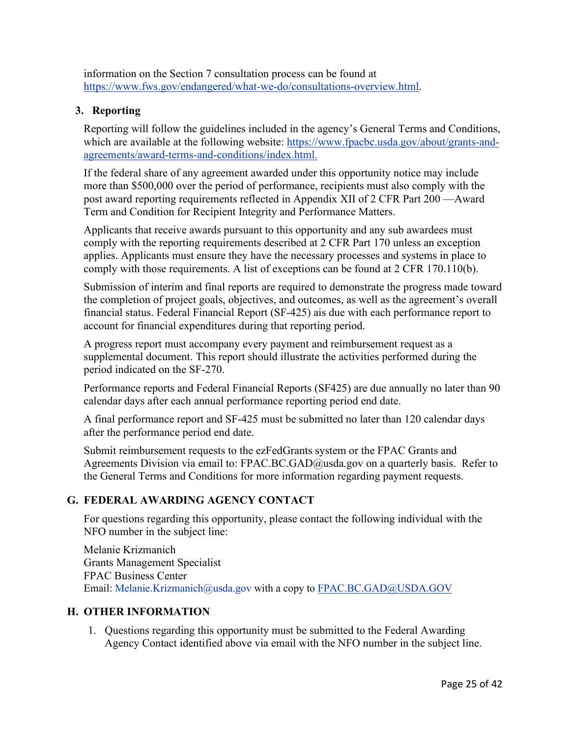information on the Section 7 consultation process can be found at [https://www.fws.gov/endangered/what-we-do/consultations-overview.html.](https://www.fws.gov/endangered/what-we-do/consultations-overview.html)

## <span id="page-24-0"></span>**3. Reporting**

Reporting will follow the guidelines included in the agency's General Terms and Conditions, which are available at the following website: [https://www.fpacbc.usda.gov/about/grants-and](https://www.fpacbc.usda.gov/about/grants-and-agreements/award-terms-and-conditions/index.html)[agreements/award-terms-and-conditions/index.html.](https://www.fpacbc.usda.gov/about/grants-and-agreements/award-terms-and-conditions/index.html)

If the federal share of any agreement awarded under this opportunity notice may include more than \$500,000 over the period of performance, recipients must also comply with the post award reporting requirements reflected in Appendix XII of 2 CFR Part 200 —Award Term and Condition for Recipient Integrity and Performance Matters.

Applicants that receive awards pursuant to this opportunity and any sub awardees must comply with the reporting requirements described at 2 CFR Part 170 unless an exception applies. Applicants must ensure they have the necessary processes and systems in place to comply with those requirements. A list of exceptions can be found at 2 CFR 170.110(b).

Submission of interim and final reports are required to demonstrate the progress made toward the completion of project goals, objectives, and outcomes, as well as the agreement's overall financial status. Federal Financial Report (SF-425) ais due with each performance report to account for financial expenditures during that reporting period.

A progress report must accompany every payment and reimbursement request as a supplemental document. This report should illustrate the activities performed during the period indicated on the SF-270.

Performance reports and Federal Financial Reports (SF425) are due annually no later than 90 calendar days after each annual performance reporting period end date.

A final performance report and SF-425 must be submitted no later than 120 calendar days after the performance period end date.

Submit reimbursement requests to the ezFedGrants system or the FPAC Grants and Agreements Division via email to: [FPAC.BC.GAD@usda.gov](mailto:FPAC.BC.GAD@usda.gov) on a quarterly basis. Refer to the General Terms and Conditions for more information regarding payment requests.

## <span id="page-24-1"></span>**G. FEDERAL AWARDING AGENCY CONTACT**

For questions regarding this opportunity, please contact the following individual with the NFO number in the subject line:

Melanie Krizmanich Grants Management Specialist FPAC Business Center Email: Melanie.Krizmanich@usda.gov with a copy to [FPAC.BC.GAD@USDA.GOV](mailto:)

## <span id="page-24-2"></span>**H. OTHER INFORMATION**

1. Questions regarding this opportunity must be submitted to the Federal Awarding Agency Contact identified above via email with the NFO number in the subject line.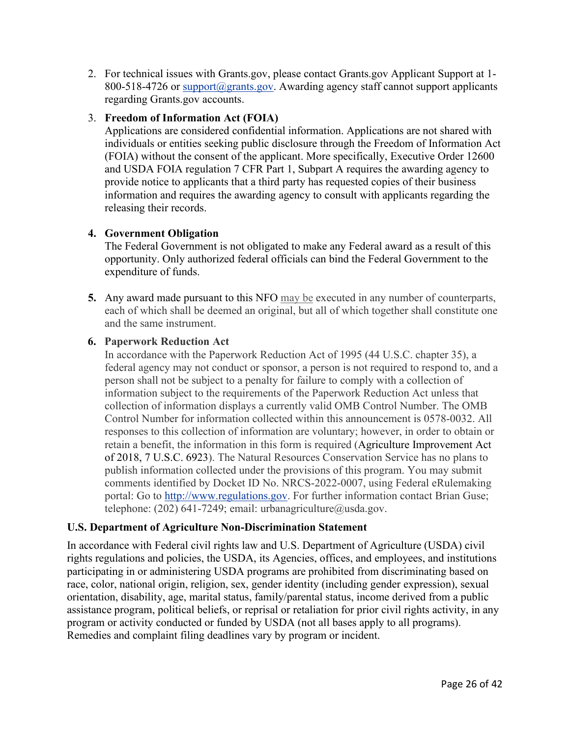2. For technical issues with Grants.gov, please contact Grants.gov Applicant Support at 1- 800-518-4726 or [support@grants.gov.](mailto:support@grants.gov) Awarding agency staff cannot support applicants regarding Grants.gov accounts.

## 3. **Freedom of Information Act (FOIA)**

Applications are considered confidential information. Applications are not shared with individuals or entities seeking public disclosure through the Freedom of Information Act (FOIA) without the consent of the applicant. More specifically, Executive Order 12600 and USDA FOIA regulation 7 CFR Part 1, Subpart A requires the awarding agency to provide notice to applicants that a third party has requested copies of their business information and requires the awarding agency to consult with applicants regarding the releasing their records.

## **4. Government Obligation**

The Federal Government is not obligated to make any Federal award as a result of this opportunity. Only authorized federal officials can bind the Federal Government to the expenditure of funds.

**5.** Any award made pursuant to this NFO [may be](https://www.lawinsider.com/clause/counterparts) executed in any number of counterparts, each of which shall be deemed an original, but all of which together shall constitute one and the same instrument.

# **6. Paperwork Reduction Act**

In accordance with the Paperwork Reduction Act of 1995 (44 U.S.C. chapter 35), a federal agency may not conduct or sponsor, a person is not required to respond to, and a person shall not be subject to a penalty for failure to comply with a collection of information subject to the requirements of the Paperwork Reduction Act unless that collection of information displays a currently valid OMB Control Number. The OMB Control Number for information collected within this announcement is 0578-0032. All responses to this collection of information are voluntary; however, in order to obtain or retain a benefit, the information in this form is required (Agriculture Improvement Act of 2018, 7 U.S.C. 6923). The Natural Resources Conservation Service has no plans to publish information collected under the provisions of this program. You may submit comments identified by Docket ID No. NRCS-2022-0007, using Federal eRulemaking portal: Go to [http://www.regulations.gov.](http://www.regulations.gov/) For further information contact Brian Guse; telephone:  $(202)$  641-7249; email: urbanagriculture@usda.gov.

## **U.S. Department of Agriculture Non-Discrimination Statement**

In accordance with Federal civil rights law and U.S. Department of Agriculture (USDA) civil rights regulations and policies, the USDA, its Agencies, offices, and employees, and institutions participating in or administering USDA programs are prohibited from discriminating based on race, color, national origin, religion, sex, gender identity (including gender expression), sexual orientation, disability, age, marital status, family/parental status, income derived from a public assistance program, political beliefs, or reprisal or retaliation for prior civil rights activity, in any program or activity conducted or funded by USDA (not all bases apply to all programs). Remedies and complaint filing deadlines vary by program or incident.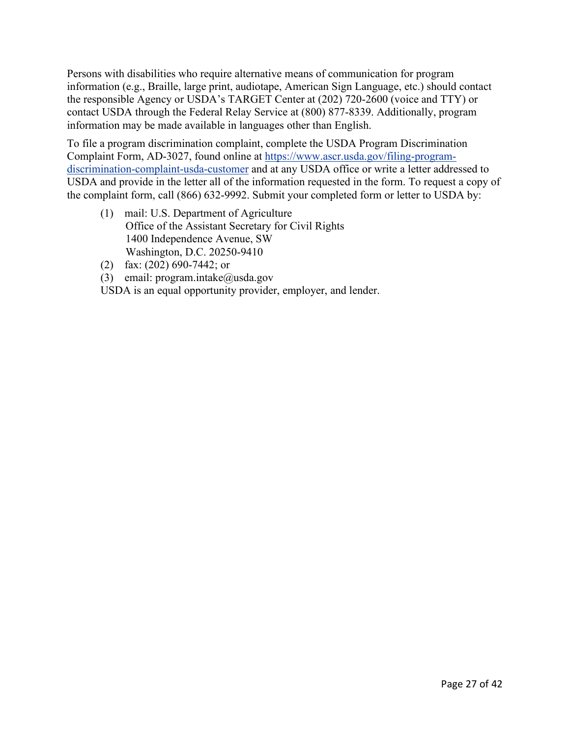Persons with disabilities who require alternative means of communication for program information (e.g., Braille, large print, audiotape, American Sign Language, etc.) should contact the responsible Agency or USDA's TARGET Center at (202) 720-2600 (voice and TTY) or contact USDA through the Federal Relay Service at (800) 877-8339. Additionally, program information may be made available in languages other than English.

To file a program discrimination complaint, complete the USDA Program Discrimination Complaint Form, AD-3027, found online at [https://www.ascr.usda.gov/filing-program](https://www.ascr.usda.gov/filing-program-discrimination-complaint-usda-customer)[discrimination-complaint-usda-customer](https://www.ascr.usda.gov/filing-program-discrimination-complaint-usda-customer) and at any USDA office or write a letter addressed to USDA and provide in the letter all of the information requested in the form. To request a copy of the complaint form, call (866) 632-9992. Submit your completed form or letter to USDA by:

- (1) mail: U.S. Department of Agriculture Office of the Assistant Secretary for Civil Rights 1400 Independence Avenue, SW Washington, D.C. 20250-9410
- (2) fax: (202) 690-7442; or
- (3) email: program.intake@usda.gov

USDA is an equal opportunity provider, employer, and lender.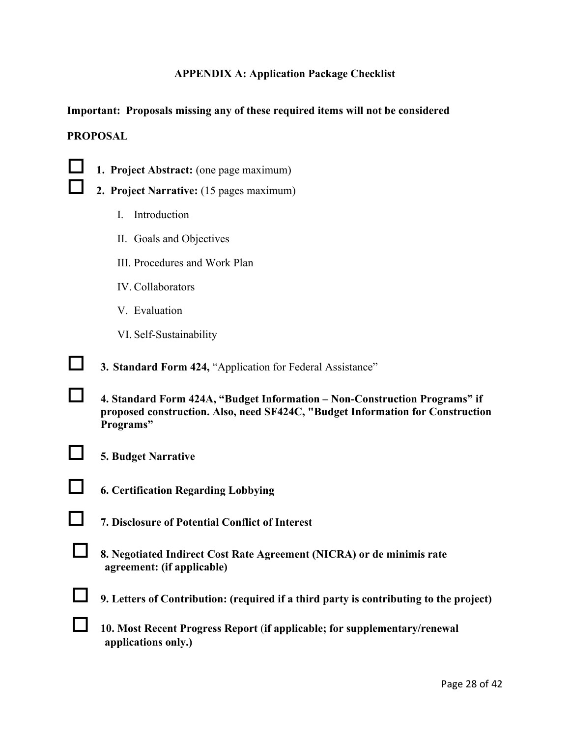#### **APPENDIX A: Application Package Checklist**

<span id="page-27-0"></span>**Important: Proposals missing any of these required items will not be considered PROPOSAL**



**1. Project Abstract:** (one page maximum)

- **2. Project Narrative:** (15 pages maximum)
	- I. Introduction
	- II. Goals and Objectives
	- III. Procedures and Work Plan
	- IV. Collaborators
	- V. Evaluation
	- VI. Self-Sustainability

**3. Standard Form 424, "Application for Federal Assistance"** 

- **4. Standard Form 424A, "Budget Information – Non-Construction Programs" if proposed construction. Also, need SF424C, "Budget Information for Construction Programs"**
- 

**5. Budget Narrative** 

- **6. Certification Regarding Lobbying**
- **7. Disclosure of Potential Conflict of Interest**
- **8. Negotiated Indirect Cost Rate Agreement (NICRA) or de minimis rate agreement: (if applicable)**
- **9. Letters of Contribution: (required if a third party is contributing to the project)**
- **10. Most Recent Progress Report** (**if applicable; for supplementary/renewal applications only.)**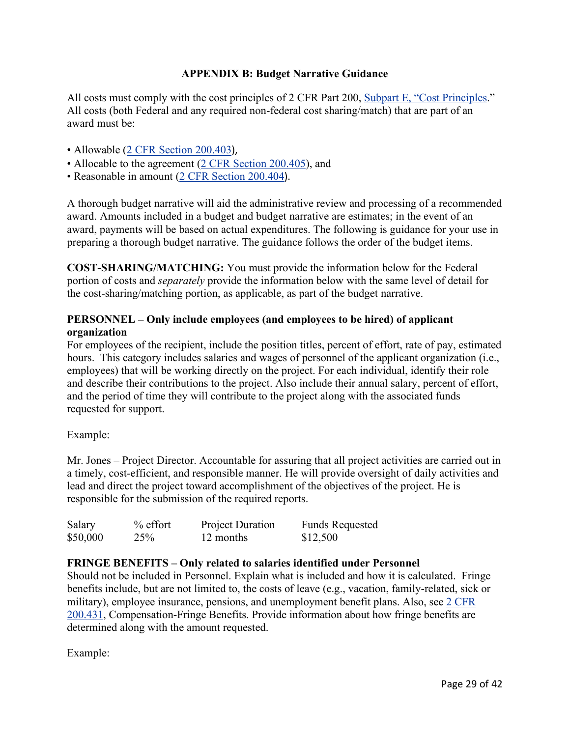## **APPENDIX B: Budget Narrative Guidance**

<span id="page-28-0"></span>All costs must comply with the cost principles of 2 CFR Part 200, [Subpart E, "Cost Principles.](https://www.ecfr.gov/current/title-2/subtitle-A/chapter-II/part-200#subpart-E)" All costs (both Federal and any required non-federal cost sharing/match) that are part of an award must be:

- Allowable [\(2 CFR Section 200.403](https://www.ecfr.gov/current/title-2/subtitle-A/chapter-II/part-200#200.403)).
- Allocable to the agreement [\(2 CFR Section 200.405\)](https://www.ecfr.gov/current/title-2/subtitle-A/chapter-II/part-200#200.405), and
- Reasonable in amount [\(2 CFR Section 200.404](https://www.ecfr.gov/current/title-2/subtitle-A/chapter-II/part-200#200.404)).

A thorough budget narrative will aid the administrative review and processing of a recommended award. Amounts included in a budget and budget narrative are estimates; in the event of an award, payments will be based on actual expenditures. The following is guidance for your use in preparing a thorough budget narrative. The guidance follows the order of the budget items.

**COST-SHARING/MATCHING:** You must provide the information below for the Federal portion of costs and *separately* provide the information below with the same level of detail for the cost-sharing/matching portion, as applicable, as part of the budget narrative.

## **PERSONNEL – Only include employees (and employees to be hired) of applicant organization**

For employees of the recipient, include the position titles, percent of effort, rate of pay, estimated hours. This category includes salaries and wages of personnel of the applicant organization (i.e., employees) that will be working directly on the project. For each individual, identify their role and describe their contributions to the project. Also include their annual salary, percent of effort, and the period of time they will contribute to the project along with the associated funds requested for support.

#### Example:

Mr. Jones – Project Director. Accountable for assuring that all project activities are carried out in a timely, cost-efficient, and responsible manner. He will provide oversight of daily activities and lead and direct the project toward accomplishment of the objectives of the project. He is responsible for the submission of the required reports.

| Salary   | $%$ effort | <b>Project Duration</b> | <b>Funds Requested</b> |
|----------|------------|-------------------------|------------------------|
| \$50,000 | 25%        | 12 months               | \$12,500               |

## **FRINGE BENEFITS – Only related to salaries identified under Personnel**

Should not be included in Personnel. Explain what is included and how it is calculated. Fringe benefits include, but are not limited to, the costs of leave (e.g., vacation, family-related, sick or military), employee insurance, pensions, and unemployment benefit plans. Also, see [2 CFR](https://www.ecfr.gov/current/title-2/subtitle-A/chapter-II/part-200#200.431)  [200.431,](https://www.ecfr.gov/current/title-2/subtitle-A/chapter-II/part-200#200.431) Compensation-Fringe Benefits. Provide information about how fringe benefits are determined along with the amount requested.

Example: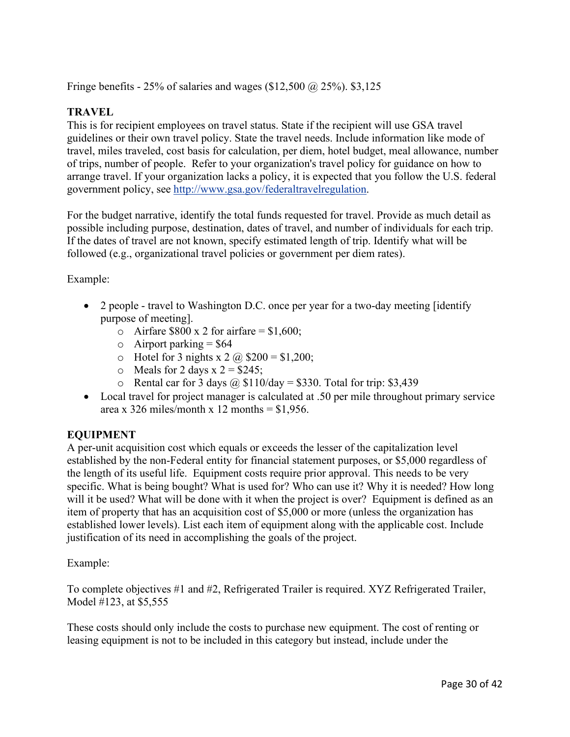Fringe benefits - 25% of salaries and wages (\$12,500  $\omega$  25%). \$3,125

# **TRAVEL**

This is for recipient employees on travel status. State if the recipient will use GSA travel guidelines or their own travel policy. State the travel needs. Include information like mode of travel, miles traveled, cost basis for calculation, per diem, hotel budget, meal allowance, number of trips, number of people. Refer to your organization's travel policy for guidance on how to arrange travel. If your organization lacks a policy, it is expected that you follow the U.S. federal government policy, see [http://www.gsa.gov/federaltravelregulation.](http://www.gsa.gov/federaltravelregulation)

For the budget narrative, identify the total funds requested for travel. Provide as much detail as possible including purpose, destination, dates of travel, and number of individuals for each trip. If the dates of travel are not known, specify estimated length of trip. Identify what will be followed (e.g., organizational travel policies or government per diem rates).

## Example:

- 2 people travel to Washington D.C. once per year for a two-day meeting [identify] purpose of meeting].
	- o Airfare  $$800 \times 2$  for airfare = \$1,600;
	- $\circ$  Airport parking = \$64
	- $\circ$  Hotel for 3 nights x 2  $\omega$  \$200 = \$1,200;
	- $\circ$  Meals for 2 days x 2 = \$245;
	- o Rental car for 3 days  $\omega$  \$110/day = \$330. Total for trip: \$3,439
- Local travel for project manager is calculated at .50 per mile throughout primary service area x 326 miles/month x 12 months =  $$1,956$ .

# **EQUIPMENT**

A per-unit [acquisition cost](https://www.law.cornell.edu/definitions/index.php?width=840&height=800&iframe=true&def_id=5acff7d5097bf48e11513f2725dc6d45&term_occur=999&term_src=Title:2:Subtitle:A:Chapter:II:Part:200:Subpart:A:Subjgrp:27:200.33) which equals or exceeds the lesser of the capitalization level established by the [non-Federal entity](https://www.law.cornell.edu/definitions/index.php?width=840&height=800&iframe=true&def_id=e70d4d5b3d21f635ea2aec391214bde6&term_occur=999&term_src=Title:2:Subtitle:A:Chapter:II:Part:200:Subpart:A:Subjgrp:27:200.33) for financial statement purposes, or \$5,000 regardless of the length of its useful life. Equipment costs require prior approval. This needs to be very specific. What is being bought? What is used for? Who can use it? Why it is needed? How long will it be used? What will be done with it when the project is over? Equipment is defined as an item of property that has an acquisition cost of \$5,000 or more (unless the organization has established lower levels). List each item of equipment along with the applicable cost. Include justification of its need in accomplishing the goals of the project.

Example:

To complete objectives #1 and #2, Refrigerated Trailer is required. XYZ Refrigerated Trailer, Model #123, at \$5,555

These costs should only include the costs to purchase new equipment. The cost of renting or leasing equipment is not to be included in this category but instead, include under the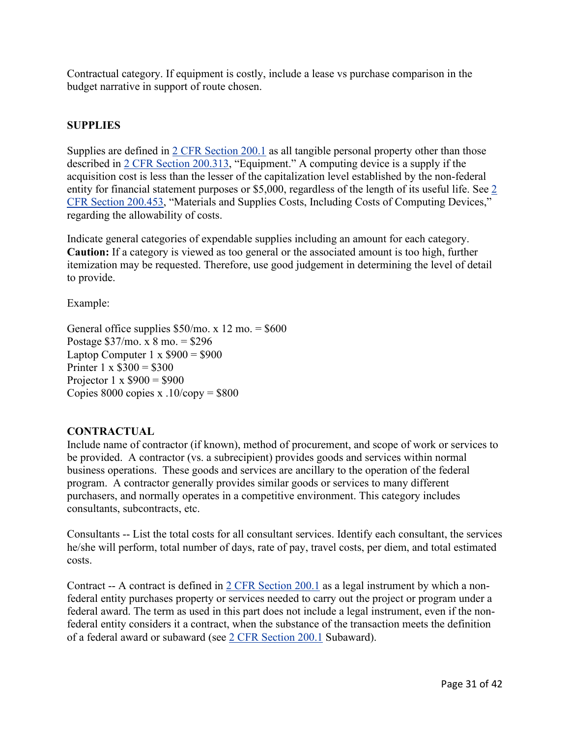Contractual category. If equipment is costly, include a lease vs purchase comparison in the budget narrative in support of route chosen.

## **SUPPLIES**

Supplies are defined in [2 CFR Section 200.1](https://www.ecfr.gov/current/title-2/subtitle-A/chapter-II/part-200#200.1) as all tangible personal property other than those described in [2 CFR Section 200.313,](https://www.ecfr.gov/current/title-2/subtitle-A/chapter-II/part-200#200.313) "Equipment." A computing device is a supply if the acquisition cost is less than the lesser of the capitalization level established by the non-federal entity for financial statement purposes or \$5,000, regardless of the length of its useful life. See [2](https://www.ecfr.gov/current/title-2/subtitle-A/chapter-II/part-200#200.453)  [CFR Section 200.453,](https://www.ecfr.gov/current/title-2/subtitle-A/chapter-II/part-200#200.453) "Materials and Supplies Costs, Including Costs of Computing Devices," regarding the allowability of costs.

Indicate general categories of expendable supplies including an amount for each category. **Caution:** If a category is viewed as too general or the associated amount is too high, further itemization may be requested. Therefore, use good judgement in determining the level of detail to provide.

Example:

General office supplies  $$50/$ mo. x 12 mo. =  $$600$ Postage \$37/mo. x 8 mo. = \$296 Laptop Computer 1 x  $$900 = $900$ Printer  $1 \times \$300 = \$300$ Projector 1 x  $$900 = $900$ Copies  $8000$  copies x  $.10$ /copy = \$800

#### **CONTRACTUAL**

Include name of contractor (if known), method of procurement, and scope of work or services to be provided. A contractor (vs. a subrecipient) provides goods and services within normal business operations. These goods and services are ancillary to the operation of the federal program. A contractor generally provides similar goods or services to many different purchasers, and normally operates in a competitive environment. This category includes consultants, subcontracts, etc.

Consultants -- List the total costs for all consultant services. Identify each consultant, the services he/she will perform, total number of days, rate of pay, travel costs, per diem, and total estimated costs.

Contract -- A contract is defined in [2 CFR Section 200.1](https://www.ecfr.gov/current/title-2/subtitle-A/chapter-II/part-200#200.1) as a legal instrument by which a nonfederal entity purchases property or services needed to carry out the project or program under a federal award. The term as used in this part does not include a legal instrument, even if the nonfederal entity considers it a contract, when the substance of the transaction meets the definition of a federal award or subaward (see [2 CFR Section 200.1](https://www.ecfr.gov/current/title-2/subtitle-A/chapter-II/part-200#200.1) Subaward).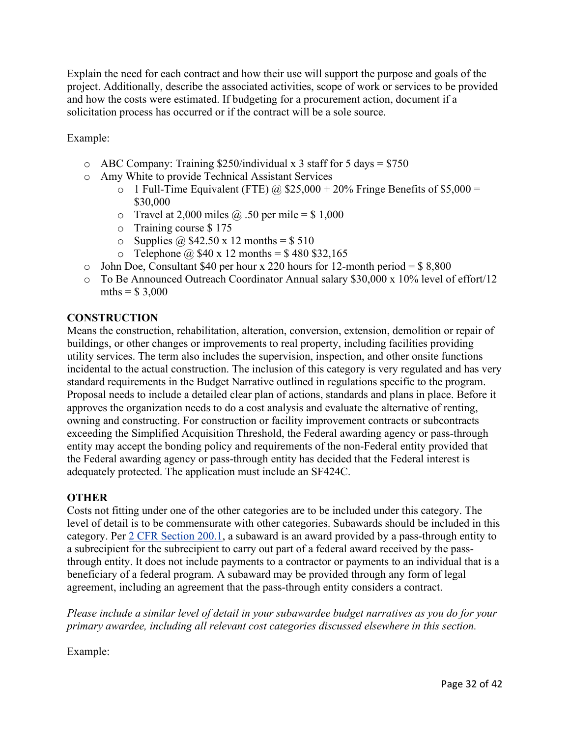Explain the need for each contract and how their use will support the purpose and goals of the project. Additionally, describe the associated activities, scope of work or services to be provided and how the costs were estimated. If budgeting for a procurement action, document if a solicitation process has occurred or if the contract will be a sole source.

Example:

- $\circ$  ABC Company: Training \$250/individual x 3 staff for 5 days = \$750
- o Amy White to provide Technical Assistant Services
	- o 1 Full-Time Equivalent (FTE)  $\omega$  \$25,000 + 20% Fringe Benefits of \$5,000 = \$30,000
	- $\circ$  Travel at 2,000 miles @ .50 per mile = \$ 1,000
	- o Training course \$ 175
	- o Supplies  $\omega$  \$42.50 x 12 months = \$ 510
	- $\circ$  Telephone @ \$40 x 12 months = \$480 \$32,165
- o John Doe, Consultant \$40 per hour x 220 hours for 12-month period =  $$8,800$
- o To Be Announced Outreach Coordinator Annual salary \$30,000 x 10% level of effort/12 mths =  $$3,000$

## **CONSTRUCTION**

Means the construction, rehabilitation, alteration, conversion, extension, demolition or repair of buildings, or other changes or improvements to real property, including facilities providing utility services. The term also includes the supervision, inspection, and other onsite functions incidental to the actual construction. The inclusion of this category is very regulated and has very standard requirements in the Budget Narrative outlined in regulations specific to the program. Proposal needs to include a detailed clear plan of actions, standards and plans in place. Before it approves the organization needs to do a cost analysis and evaluate the alternative of renting, owning and constructing. For construction or facility improvement contracts or subcontracts exceeding the Simplified Acquisition Threshold, the Federal awarding agency or pass-through entity may accept the bonding policy and requirements of the non-Federal entity provided that the Federal awarding agency or pass-through entity has decided that the Federal interest is adequately protected. The application must include an SF424C.

## **OTHER**

Costs not fitting under one of the other categories are to be included under this category. The level of detail is to be commensurate with other categories. Subawards should be included in this category. Per [2 CFR Section 200.1,](https://www.ecfr.gov/current/title-2/subtitle-A/chapter-II/part-200#200.1) a subaward is an award provided by a pass-through entity to a subrecipient for the subrecipient to carry out part of a federal award received by the passthrough entity. It does not include payments to a contractor or payments to an individual that is a beneficiary of a federal program. A subaward may be provided through any form of legal agreement, including an agreement that the pass-through entity considers a contract.

*Please include a similar level of detail in your subawardee budget narratives as you do for your primary awardee, including all relevant cost categories discussed elsewhere in this section.*

Example: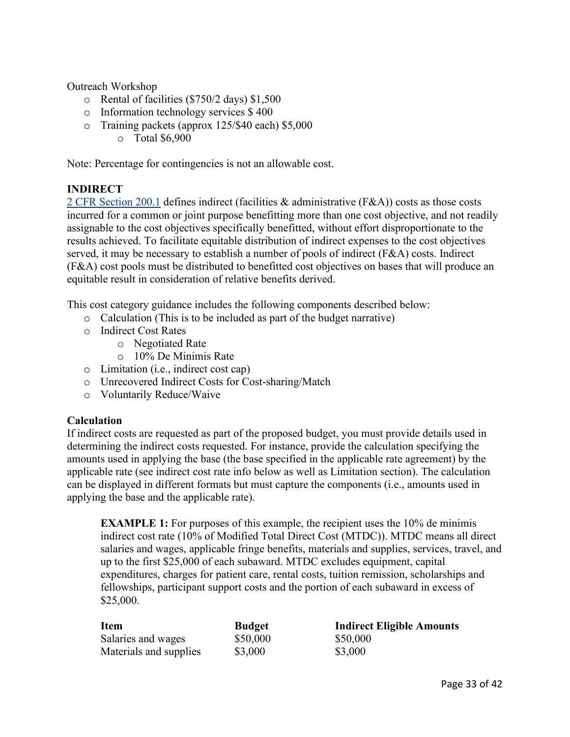Outreach Workshop

- o Rental of facilities (\$750/2 days) \$1,500
- o Information technology services \$ 400
- o Training packets (approx 125/\$40 each) \$5,000
	- o Total \$6,900

Note: Percentage for contingencies is not an allowable cost.

#### **INDIRECT**

[2 CFR Section 200.1](https://www.ecfr.gov/current/title-2/subtitle-A/chapter-II/part-200#200.1) defines indirect (facilities & administrative (F&A)) costs as those costs incurred for a common or joint purpose benefitting more than one cost objective, and not readily assignable to the cost objectives specifically benefitted, without effort disproportionate to the results achieved. To facilitate equitable distribution of indirect expenses to the cost objectives served, it may be necessary to establish a number of pools of indirect (F&A) costs. Indirect (F&A) cost pools must be distributed to benefitted cost objectives on bases that will produce an equitable result in consideration of relative benefits derived.

This cost category guidance includes the following components described below:

- o Calculation (This is to be included as part of the budget narrative)
- o Indirect Cost Rates
	- o Negotiated Rate
	- o 10% De Minimis Rate
- o Limitation (i.e., indirect cost cap)
- o Unrecovered Indirect Costs for Cost-sharing/Match
- o Voluntarily Reduce/Waive

#### **Calculation**

If indirect costs are requested as part of the proposed budget, you must provide details used in determining the indirect costs requested. For instance, provide the calculation specifying the amounts used in applying the base (the base specified in the applicable rate agreement) by the applicable rate (see indirect cost rate info below as well as Limitation section). The calculation can be displayed in different formats but must capture the components (i.e., amounts used in applying the base and the applicable rate).

**EXAMPLE 1:** For purposes of this example, the recipient uses the 10% de minimis indirect cost rate (10% of Modified Total Direct Cost (MTDC)). MTDC means all direct salaries and wages, applicable fringe benefits, materials and supplies, services, travel, and up to the first \$25,000 of each subaward. MTDC excludes equipment, capital expenditures, charges for patient care, rental costs, tuition remission, scholarships and fellowships, participant support costs and the portion of each subaward in excess of \$25,000.

| <b>Item</b>            | <b>Budget</b> | <b>Indirect Eligible Amounts</b> |
|------------------------|---------------|----------------------------------|
| Salaries and wages     | \$50,000      | \$50,000                         |
| Materials and supplies | \$3,000       | \$3,000                          |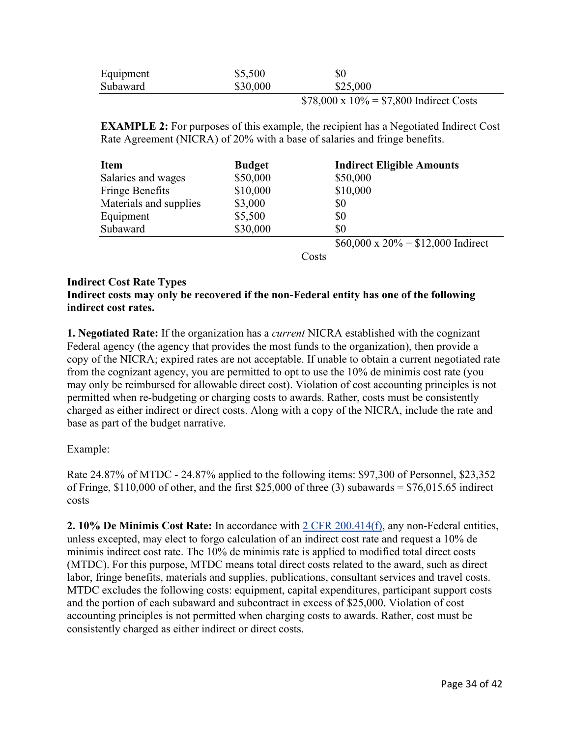| Equipment | \$5,500  | $\$0$    |    |
|-----------|----------|----------|----|
| Subaward  | \$30,000 | \$25,000 |    |
|           |          | .        | __ |

 $$78,000 \times 10\% = $7,800$  Indirect Costs

**EXAMPLE 2:** For purposes of this example, the recipient has a Negotiated Indirect Cost Rate Agreement (NICRA) of 20% with a base of salaries and fringe benefits.

| <b>Item</b>            | <b>Budget</b> | <b>Indirect Eligible Amounts</b>         |
|------------------------|---------------|------------------------------------------|
| Salaries and wages     | \$50,000      | \$50,000                                 |
| Fringe Benefits        | \$10,000      | \$10,000                                 |
| Materials and supplies | \$3,000       | \$0                                      |
| Equipment              | \$5,500       | \$0                                      |
| Subaward               | \$30,000      | \$0                                      |
|                        |               | $$60,000 \times 20\% = $12,000$ Indirect |

**Costs** 

#### **Indirect Cost Rate Types**

#### **Indirect costs may only be recovered if the non-Federal entity has one of the following indirect cost rates.**

**1. Negotiated Rate:** If the organization has a *current* NICRA established with the cognizant Federal agency (the agency that provides the most funds to the organization), then provide a copy of the NICRA; expired rates are not acceptable. If unable to obtain a current negotiated rate from the cognizant agency, you are permitted to opt to use the 10% de minimis cost rate (you may only be reimbursed for allowable direct cost). Violation of cost accounting principles is not permitted when re-budgeting or charging costs to awards. Rather, costs must be consistently charged as either indirect or direct costs. Along with a copy of the NICRA, include the rate and base as part of the budget narrative.

#### Example:

Rate 24.87% of MTDC - 24.87% applied to the following items: \$97,300 of Personnel, \$23,352 of Fringe,  $$110,000$  of other, and the first  $$25,000$  of three (3) subawards =  $$76,015.65$  indirect costs

**2. 10% De Minimis Cost Rate:** In accordance with [2 CFR 200.414\(f\),](https://www.ecfr.gov/current/title-2/subtitle-A/chapter-II/part-200#200.414) any non-Federal entities, unless excepted, may elect to forgo calculation of an indirect cost rate and request a 10% de minimis indirect cost rate. The 10% de minimis rate is applied to modified total direct costs (MTDC). For this purpose, MTDC means total direct costs related to the award, such as direct labor, fringe benefits, materials and supplies, publications, consultant services and travel costs. MTDC excludes the following costs: equipment, capital expenditures, participant support costs and the portion of each subaward and subcontract in excess of \$25,000. Violation of cost accounting principles is not permitted when charging costs to awards. Rather, cost must be consistently charged as either indirect or direct costs.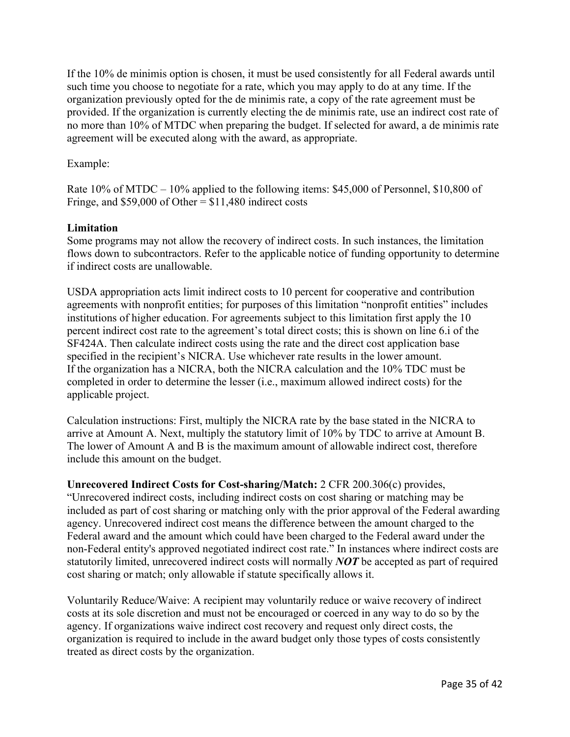If the 10% de minimis option is chosen, it must be used consistently for all Federal awards until such time you choose to negotiate for a rate, which you may apply to do at any time. If the organization previously opted for the de minimis rate, a copy of the rate agreement must be provided. If the organization is currently electing the de minimis rate, use an indirect cost rate of no more than 10% of MTDC when preparing the budget. If selected for award, a de minimis rate agreement will be executed along with the award, as appropriate.

#### Example:

Rate 10% of MTDC – 10% applied to the following items: \$45,000 of Personnel, \$10,800 of Fringe, and  $$59,000$  of Other =  $$11,480$  indirect costs

#### **Limitation**

Some programs may not allow the recovery of indirect costs. In such instances, the limitation flows down to subcontractors. Refer to the applicable notice of funding opportunity to determine if indirect costs are unallowable.

USDA appropriation acts limit indirect costs to 10 percent for cooperative and contribution agreements with nonprofit entities; for purposes of this limitation "nonprofit entities" includes institutions of higher education. For agreements subject to this limitation first apply the 10 percent indirect cost rate to the agreement's total direct costs; this is shown on line 6.i of the SF424A. Then calculate indirect costs using the rate and the direct cost application base specified in the recipient's NICRA. Use whichever rate results in the lower amount. If the organization has a NICRA, both the NICRA calculation and the 10% TDC must be completed in order to determine the lesser (i.e., maximum allowed indirect costs) for the applicable project.

Calculation instructions: First, multiply the NICRA rate by the base stated in the NICRA to arrive at Amount A. Next, multiply the statutory limit of 10% by TDC to arrive at Amount B. The lower of Amount A and B is the maximum amount of allowable indirect cost, therefore include this amount on the budget.

**Unrecovered Indirect Costs for Cost-sharing/Match:** 2 CFR 200.306(c) provides, "Unrecovered indirect costs, including indirect costs on cost sharing or matching may be included as part of cost sharing or matching only with the prior approval of the Federal awarding agency. Unrecovered indirect cost means the difference between the amount charged to the Federal award and the amount which could have been charged to the Federal award under the non-Federal entity's approved negotiated indirect cost rate." In instances where indirect costs are statutorily limited, unrecovered indirect costs will normally *NOT* be accepted as part of required cost sharing or match; only allowable if statute specifically allows it.

Voluntarily Reduce/Waive: A recipient may voluntarily reduce or waive recovery of indirect costs at its sole discretion and must not be encouraged or coerced in any way to do so by the agency. If organizations waive indirect cost recovery and request only direct costs, the organization is required to include in the award budget only those types of costs consistently treated as direct costs by the organization.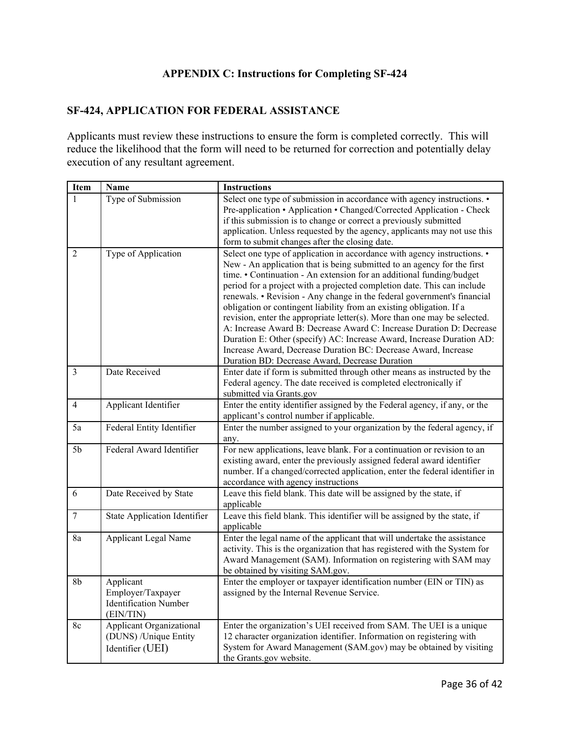# **APPENDIX C: Instructions for Completing SF-424**

#### <span id="page-35-0"></span>**SF-424, APPLICATION FOR FEDERAL ASSISTANCE**

Applicants must review these instructions to ensure the form is completed correctly. This will reduce the likelihood that the form will need to be returned for correction and potentially delay execution of any resultant agreement.

| Item           | Name                                                                         | <b>Instructions</b>                                                                                                                                                                                                                                                                                                                                                                                                                                                                                                                                                                                                                                                                                                                                                                                         |
|----------------|------------------------------------------------------------------------------|-------------------------------------------------------------------------------------------------------------------------------------------------------------------------------------------------------------------------------------------------------------------------------------------------------------------------------------------------------------------------------------------------------------------------------------------------------------------------------------------------------------------------------------------------------------------------------------------------------------------------------------------------------------------------------------------------------------------------------------------------------------------------------------------------------------|
| $\mathbf{1}$   | Type of Submission                                                           | Select one type of submission in accordance with agency instructions. •<br>Pre-application • Application • Changed/Corrected Application - Check<br>if this submission is to change or correct a previously submitted<br>application. Unless requested by the agency, applicants may not use this<br>form to submit changes after the closing date.                                                                                                                                                                                                                                                                                                                                                                                                                                                         |
| $\overline{2}$ | Type of Application                                                          | Select one type of application in accordance with agency instructions. •<br>New - An application that is being submitted to an agency for the first<br>time. • Continuation - An extension for an additional funding/budget<br>period for a project with a projected completion date. This can include<br>renewals. • Revision - Any change in the federal government's financial<br>obligation or contingent liability from an existing obligation. If a<br>revision, enter the appropriate letter(s). More than one may be selected.<br>A: Increase Award B: Decrease Award C: Increase Duration D: Decrease<br>Duration E: Other (specify) AC: Increase Award, Increase Duration AD:<br>Increase Award, Decrease Duration BC: Decrease Award, Increase<br>Duration BD: Decrease Award, Decrease Duration |
| 3              | Date Received                                                                | Enter date if form is submitted through other means as instructed by the<br>Federal agency. The date received is completed electronically if<br>submitted via Grants.gov                                                                                                                                                                                                                                                                                                                                                                                                                                                                                                                                                                                                                                    |
| $\overline{4}$ | Applicant Identifier                                                         | Enter the entity identifier assigned by the Federal agency, if any, or the<br>applicant's control number if applicable.                                                                                                                                                                                                                                                                                                                                                                                                                                                                                                                                                                                                                                                                                     |
| 5a             | Federal Entity Identifier                                                    | Enter the number assigned to your organization by the federal agency, if<br>any.                                                                                                                                                                                                                                                                                                                                                                                                                                                                                                                                                                                                                                                                                                                            |
| 5 <sub>b</sub> | Federal Award Identifier                                                     | For new applications, leave blank. For a continuation or revision to an<br>existing award, enter the previously assigned federal award identifier<br>number. If a changed/corrected application, enter the federal identifier in<br>accordance with agency instructions                                                                                                                                                                                                                                                                                                                                                                                                                                                                                                                                     |
| 6              | Date Received by State                                                       | Leave this field blank. This date will be assigned by the state, if<br>applicable                                                                                                                                                                                                                                                                                                                                                                                                                                                                                                                                                                                                                                                                                                                           |
| $\overline{7}$ | <b>State Application Identifier</b>                                          | Leave this field blank. This identifier will be assigned by the state, if<br>applicable                                                                                                                                                                                                                                                                                                                                                                                                                                                                                                                                                                                                                                                                                                                     |
| 8a             | <b>Applicant Legal Name</b>                                                  | Enter the legal name of the applicant that will undertake the assistance<br>activity. This is the organization that has registered with the System for<br>Award Management (SAM). Information on registering with SAM may<br>be obtained by visiting SAM.gov.                                                                                                                                                                                                                                                                                                                                                                                                                                                                                                                                               |
| 8b             | Applicant<br>Employer/Taxpayer<br><b>Identification Number</b><br>(EIN/TIN)  | Enter the employer or taxpayer identification number (EIN or TIN) as<br>assigned by the Internal Revenue Service.                                                                                                                                                                                                                                                                                                                                                                                                                                                                                                                                                                                                                                                                                           |
| 8c             | <b>Applicant Organizational</b><br>(DUNS) /Unique Entity<br>Identifier (UEI) | Enter the organization's UEI received from SAM. The UEI is a unique<br>12 character organization identifier. Information on registering with<br>System for Award Management (SAM.gov) may be obtained by visiting<br>the Grants.gov website.                                                                                                                                                                                                                                                                                                                                                                                                                                                                                                                                                                |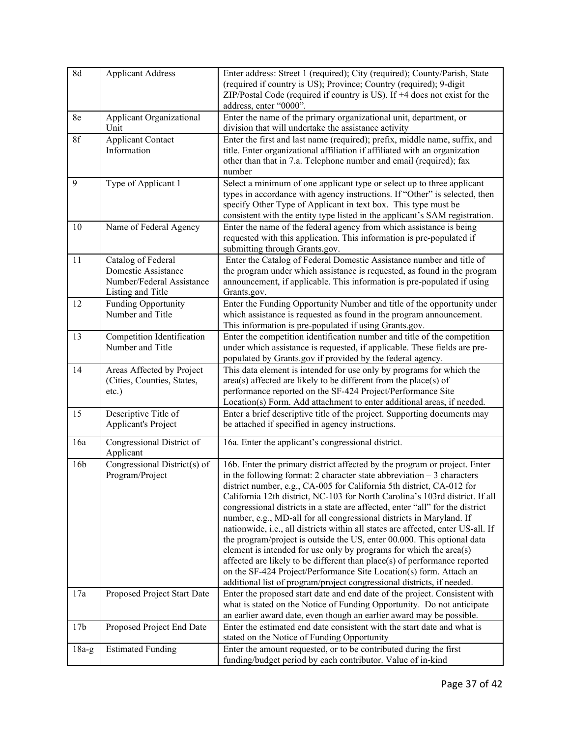| 8d              | <b>Applicant Address</b>                                                                    | Enter address: Street 1 (required); City (required); County/Parish, State<br>(required if country is US); Province; Country (required); 9-digit<br>ZIP/Postal Code (required if country is US). If +4 does not exist for the<br>address, enter "0000".                                                                                                                                                                                                                                                                                                                                                                                                                                                                                                                                                                                                                                                                                   |
|-----------------|---------------------------------------------------------------------------------------------|------------------------------------------------------------------------------------------------------------------------------------------------------------------------------------------------------------------------------------------------------------------------------------------------------------------------------------------------------------------------------------------------------------------------------------------------------------------------------------------------------------------------------------------------------------------------------------------------------------------------------------------------------------------------------------------------------------------------------------------------------------------------------------------------------------------------------------------------------------------------------------------------------------------------------------------|
| 8e              | Applicant Organizational<br>Unit                                                            | Enter the name of the primary organizational unit, department, or<br>division that will undertake the assistance activity                                                                                                                                                                                                                                                                                                                                                                                                                                                                                                                                                                                                                                                                                                                                                                                                                |
| 8f              | <b>Applicant Contact</b><br>Information                                                     | Enter the first and last name (required); prefix, middle name, suffix, and<br>title. Enter organizational affiliation if affiliated with an organization<br>other than that in 7.a. Telephone number and email (required); fax<br>number                                                                                                                                                                                                                                                                                                                                                                                                                                                                                                                                                                                                                                                                                                 |
| 9               | Type of Applicant 1                                                                         | Select a minimum of one applicant type or select up to three applicant<br>types in accordance with agency instructions. If "Other" is selected, then<br>specify Other Type of Applicant in text box. This type must be<br>consistent with the entity type listed in the applicant's SAM registration.                                                                                                                                                                                                                                                                                                                                                                                                                                                                                                                                                                                                                                    |
| 10              | Name of Federal Agency                                                                      | Enter the name of the federal agency from which assistance is being<br>requested with this application. This information is pre-populated if<br>submitting through Grants.gov.                                                                                                                                                                                                                                                                                                                                                                                                                                                                                                                                                                                                                                                                                                                                                           |
| 11              | Catalog of Federal<br>Domestic Assistance<br>Number/Federal Assistance<br>Listing and Title | Enter the Catalog of Federal Domestic Assistance number and title of<br>the program under which assistance is requested, as found in the program<br>announcement, if applicable. This information is pre-populated if using<br>Grants.gov.                                                                                                                                                                                                                                                                                                                                                                                                                                                                                                                                                                                                                                                                                               |
| 12              | Funding Opportunity<br>Number and Title                                                     | Enter the Funding Opportunity Number and title of the opportunity under<br>which assistance is requested as found in the program announcement.<br>This information is pre-populated if using Grants.gov.                                                                                                                                                                                                                                                                                                                                                                                                                                                                                                                                                                                                                                                                                                                                 |
| 13              | Competition Identification<br>Number and Title                                              | Enter the competition identification number and title of the competition<br>under which assistance is requested, if applicable. These fields are pre-<br>populated by Grants.gov if provided by the federal agency.                                                                                                                                                                                                                                                                                                                                                                                                                                                                                                                                                                                                                                                                                                                      |
| 14              | Areas Affected by Project<br>(Cities, Counties, States,<br>$etc.$ )                         | This data element is intended for use only by programs for which the<br>$area(s)$ affected are likely to be different from the place(s) of<br>performance reported on the SF-424 Project/Performance Site<br>Location(s) Form. Add attachment to enter additional areas, if needed.                                                                                                                                                                                                                                                                                                                                                                                                                                                                                                                                                                                                                                                      |
| 15              | Descriptive Title of<br>Applicant's Project                                                 | Enter a brief descriptive title of the project. Supporting documents may<br>be attached if specified in agency instructions.                                                                                                                                                                                                                                                                                                                                                                                                                                                                                                                                                                                                                                                                                                                                                                                                             |
| 16a             | Congressional District of<br>Applicant                                                      | 16a. Enter the applicant's congressional district.                                                                                                                                                                                                                                                                                                                                                                                                                                                                                                                                                                                                                                                                                                                                                                                                                                                                                       |
| 16 <sub>b</sub> | Congressional District(s) of<br>Program/Project                                             | 16b. Enter the primary district affected by the program or project. Enter<br>in the following format: 2 character state abbreviation $-3$ characters<br>district number, e.g., CA-005 for California 5th district, CA-012 for<br>California 12th district, NC-103 for North Carolina's 103rd district. If all<br>congressional districts in a state are affected, enter "all" for the district<br>number, e.g., MD-all for all congressional districts in Maryland. If<br>nationwide, i.e., all districts within all states are affected, enter US-all. If<br>the program/project is outside the US, enter 00.000. This optional data<br>element is intended for use only by programs for which the area(s)<br>affected are likely to be different than place(s) of performance reported<br>on the SF-424 Project/Performance Site Location(s) form. Attach an<br>additional list of program/project congressional districts, if needed. |
| 17a             | Proposed Project Start Date                                                                 | Enter the proposed start date and end date of the project. Consistent with<br>what is stated on the Notice of Funding Opportunity. Do not anticipate<br>an earlier award date, even though an earlier award may be possible.                                                                                                                                                                                                                                                                                                                                                                                                                                                                                                                                                                                                                                                                                                             |
| 17 <sub>b</sub> | Proposed Project End Date                                                                   | Enter the estimated end date consistent with the start date and what is<br>stated on the Notice of Funding Opportunity                                                                                                                                                                                                                                                                                                                                                                                                                                                                                                                                                                                                                                                                                                                                                                                                                   |
| $18a-g$         | <b>Estimated Funding</b>                                                                    | Enter the amount requested, or to be contributed during the first<br>funding/budget period by each contributor. Value of in-kind                                                                                                                                                                                                                                                                                                                                                                                                                                                                                                                                                                                                                                                                                                                                                                                                         |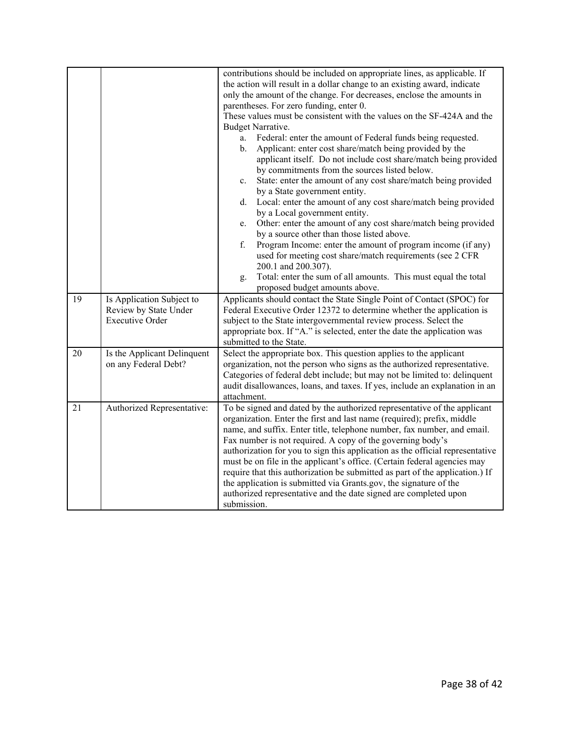|    |                                                                              | contributions should be included on appropriate lines, as applicable. If<br>the action will result in a dollar change to an existing award, indicate<br>only the amount of the change. For decreases, enclose the amounts in<br>parentheses. For zero funding, enter 0.<br>These values must be consistent with the values on the SF-424A and the<br>Budget Narrative.<br>Federal: enter the amount of Federal funds being requested.<br>a.<br>Applicant: enter cost share/match being provided by the<br>b.<br>applicant itself. Do not include cost share/match being provided<br>by commitments from the sources listed below.<br>State: enter the amount of any cost share/match being provided<br>c.<br>by a State government entity.<br>Local: enter the amount of any cost share/match being provided<br>d.<br>by a Local government entity.<br>Other: enter the amount of any cost share/match being provided<br>e.<br>by a source other than those listed above.<br>f.<br>Program Income: enter the amount of program income (if any)<br>used for meeting cost share/match requirements (see 2 CFR<br>200.1 and 200.307).<br>Total: enter the sum of all amounts. This must equal the total<br>g. |
|----|------------------------------------------------------------------------------|------------------------------------------------------------------------------------------------------------------------------------------------------------------------------------------------------------------------------------------------------------------------------------------------------------------------------------------------------------------------------------------------------------------------------------------------------------------------------------------------------------------------------------------------------------------------------------------------------------------------------------------------------------------------------------------------------------------------------------------------------------------------------------------------------------------------------------------------------------------------------------------------------------------------------------------------------------------------------------------------------------------------------------------------------------------------------------------------------------------------------------------------------------------------------------------------------------|
| 19 | Is Application Subject to<br>Review by State Under<br><b>Executive Order</b> | proposed budget amounts above.<br>Applicants should contact the State Single Point of Contact (SPOC) for<br>Federal Executive Order 12372 to determine whether the application is<br>subject to the State intergovernmental review process. Select the<br>appropriate box. If "A." is selected, enter the date the application was<br>submitted to the State.                                                                                                                                                                                                                                                                                                                                                                                                                                                                                                                                                                                                                                                                                                                                                                                                                                              |
| 20 | Is the Applicant Delinquent<br>on any Federal Debt?                          | Select the appropriate box. This question applies to the applicant<br>organization, not the person who signs as the authorized representative.<br>Categories of federal debt include; but may not be limited to: delinquent<br>audit disallowances, loans, and taxes. If yes, include an explanation in an<br>attachment.                                                                                                                                                                                                                                                                                                                                                                                                                                                                                                                                                                                                                                                                                                                                                                                                                                                                                  |
| 21 | Authorized Representative:                                                   | To be signed and dated by the authorized representative of the applicant<br>organization. Enter the first and last name (required); prefix, middle<br>name, and suffix. Enter title, telephone number, fax number, and email.<br>Fax number is not required. A copy of the governing body's<br>authorization for you to sign this application as the official representative<br>must be on file in the applicant's office. (Certain federal agencies may<br>require that this authorization be submitted as part of the application.) If<br>the application is submitted via Grants.gov, the signature of the<br>authorized representative and the date signed are completed upon<br>submission.                                                                                                                                                                                                                                                                                                                                                                                                                                                                                                           |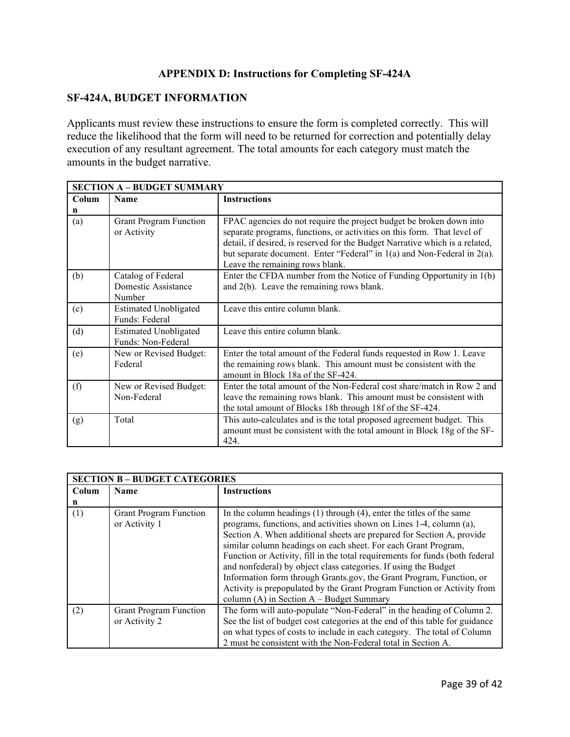## **APPENDIX D: Instructions for Completing SF-424A**

#### <span id="page-38-0"></span>**SF-424A, BUDGET INFORMATION**

Applicants must review these instructions to ensure the form is completed correctly. This will reduce the likelihood that the form will need to be returned for correction and potentially delay execution of any resultant agreement. The total amounts for each category must match the amounts in the budget narrative.

|       | <b>SECTION A - BUDGET SUMMARY</b>                   |                                                                                                                                                                                                                                                                                                                                                   |  |  |
|-------|-----------------------------------------------------|---------------------------------------------------------------------------------------------------------------------------------------------------------------------------------------------------------------------------------------------------------------------------------------------------------------------------------------------------|--|--|
| Colum | Name                                                | <b>Instructions</b>                                                                                                                                                                                                                                                                                                                               |  |  |
| n     |                                                     |                                                                                                                                                                                                                                                                                                                                                   |  |  |
| (a)   | <b>Grant Program Function</b><br>or Activity        | FPAC agencies do not require the project budget be broken down into<br>separate programs, functions, or activities on this form. That level of<br>detail, if desired, is reserved for the Budget Narrative which is a related,<br>but separate document. Enter "Federal" in $1(a)$ and Non-Federal in $2(a)$ .<br>Leave the remaining rows blank. |  |  |
| (b)   | Catalog of Federal<br>Domestic Assistance<br>Number | Enter the CFDA number from the Notice of Funding Opportunity in 1(b)<br>and $2(b)$ . Leave the remaining rows blank.                                                                                                                                                                                                                              |  |  |
| (c)   | <b>Estimated Unobligated</b><br>Funds: Federal      | Leave this entire column blank.                                                                                                                                                                                                                                                                                                                   |  |  |
| (d)   | <b>Estimated Unobligated</b><br>Funds: Non-Federal  | Leave this entire column blank.                                                                                                                                                                                                                                                                                                                   |  |  |
| (e)   | New or Revised Budget:<br>Federal                   | Enter the total amount of the Federal funds requested in Row 1. Leave<br>the remaining rows blank. This amount must be consistent with the<br>amount in Block 18a of the SF-424.                                                                                                                                                                  |  |  |
| (f)   | New or Revised Budget:<br>Non-Federal               | Enter the total amount of the Non-Federal cost share/match in Row 2 and<br>leave the remaining rows blank. This amount must be consistent with<br>the total amount of Blocks 18b through 18f of the SF-424.                                                                                                                                       |  |  |
| (g)   | Total                                               | This auto-calculates and is the total proposed agreement budget. This<br>amount must be consistent with the total amount in Block 18g of the SF-<br>424.                                                                                                                                                                                          |  |  |

|       | <b>SECTION B - BUDGET CATEGORIES</b>           |                                                                                                                                                                                                                                                                                                                                                                                                                                                                                                                                                                                                                                                   |  |  |
|-------|------------------------------------------------|---------------------------------------------------------------------------------------------------------------------------------------------------------------------------------------------------------------------------------------------------------------------------------------------------------------------------------------------------------------------------------------------------------------------------------------------------------------------------------------------------------------------------------------------------------------------------------------------------------------------------------------------------|--|--|
| Colum | Name                                           | <b>Instructions</b>                                                                                                                                                                                                                                                                                                                                                                                                                                                                                                                                                                                                                               |  |  |
| n     |                                                |                                                                                                                                                                                                                                                                                                                                                                                                                                                                                                                                                                                                                                                   |  |  |
| (1)   | <b>Grant Program Function</b><br>or Activity 1 | In the column headings $(1)$ through $(4)$ , enter the titles of the same<br>programs, functions, and activities shown on Lines 1-4, column (a),<br>Section A. When additional sheets are prepared for Section A, provide<br>similar column headings on each sheet. For each Grant Program,<br>Function or Activity, fill in the total requirements for funds (both federal<br>and nonfederal) by object class categories. If using the Budget<br>Information form through Grants.gov, the Grant Program, Function, or<br>Activity is prepopulated by the Grant Program Function or Activity from<br>column $(A)$ in Section $A$ – Budget Summary |  |  |
| (2)   | <b>Grant Program Function</b><br>or Activity 2 | The form will auto-populate "Non-Federal" in the heading of Column 2.<br>See the list of budget cost categories at the end of this table for guidance<br>on what types of costs to include in each category. The total of Column<br>2 must be consistent with the Non-Federal total in Section A.                                                                                                                                                                                                                                                                                                                                                 |  |  |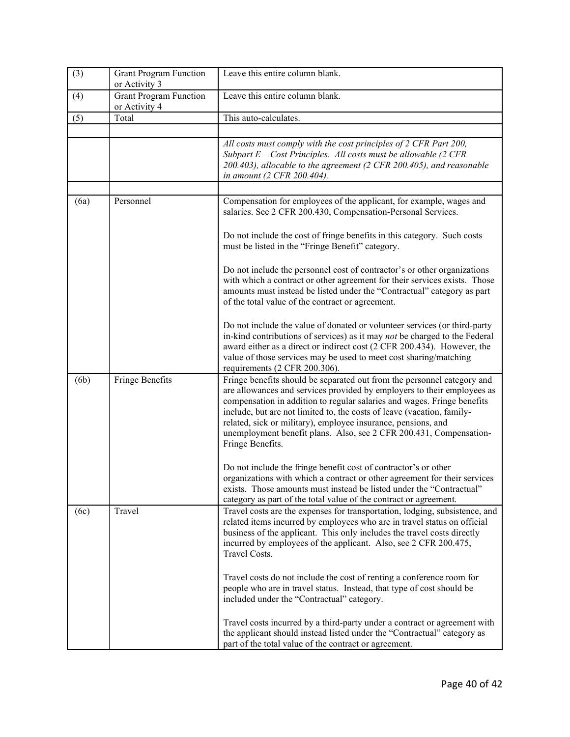| (3)  | <b>Grant Program Function</b><br>or Activity 3 | Leave this entire column blank.                                                                                                                                                                                                                                                                                                                                                                                                                                    |
|------|------------------------------------------------|--------------------------------------------------------------------------------------------------------------------------------------------------------------------------------------------------------------------------------------------------------------------------------------------------------------------------------------------------------------------------------------------------------------------------------------------------------------------|
| (4)  | <b>Grant Program Function</b><br>or Activity 4 | Leave this entire column blank.                                                                                                                                                                                                                                                                                                                                                                                                                                    |
| (5)  | Total                                          | This auto-calculates.                                                                                                                                                                                                                                                                                                                                                                                                                                              |
|      |                                                | All costs must comply with the cost principles of 2 CFR Part 200,<br>Subpart $E$ – Cost Principles. All costs must be allowable (2 CFR<br>200.403), allocable to the agreement (2 CFR 200.405), and reasonable<br>in amount (2 CFR 200.404).                                                                                                                                                                                                                       |
|      |                                                |                                                                                                                                                                                                                                                                                                                                                                                                                                                                    |
| (6a) | Personnel                                      | Compensation for employees of the applicant, for example, wages and<br>salaries. See 2 CFR 200.430, Compensation-Personal Services.                                                                                                                                                                                                                                                                                                                                |
|      |                                                | Do not include the cost of fringe benefits in this category. Such costs<br>must be listed in the "Fringe Benefit" category.                                                                                                                                                                                                                                                                                                                                        |
|      |                                                | Do not include the personnel cost of contractor's or other organizations<br>with which a contract or other agreement for their services exists. Those<br>amounts must instead be listed under the "Contractual" category as part<br>of the total value of the contract or agreement.                                                                                                                                                                               |
|      |                                                | Do not include the value of donated or volunteer services (or third-party<br>in-kind contributions of services) as it may not be charged to the Federal<br>award either as a direct or indirect cost (2 CFR 200.434). However, the<br>value of those services may be used to meet cost sharing/matching<br>requirements (2 CFR 200.306).                                                                                                                           |
| (6b) | Fringe Benefits                                | Fringe benefits should be separated out from the personnel category and<br>are allowances and services provided by employers to their employees as<br>compensation in addition to regular salaries and wages. Fringe benefits<br>include, but are not limited to, the costs of leave (vacation, family-<br>related, sick or military), employee insurance, pensions, and<br>unemployment benefit plans. Also, see 2 CFR 200.431, Compensation-<br>Fringe Benefits. |
|      |                                                | Do not include the fringe benefit cost of contractor's or other<br>organizations with which a contract or other agreement for their services<br>exists. Those amounts must instead be listed under the "Contractual"<br>category as part of the total value of the contract or agreement.                                                                                                                                                                          |
| (6c) | Travel                                         | Travel costs are the expenses for transportation, lodging, subsistence, and<br>related items incurred by employees who are in travel status on official<br>business of the applicant. This only includes the travel costs directly<br>incurred by employees of the applicant. Also, see 2 CFR 200.475,<br>Travel Costs.                                                                                                                                            |
|      |                                                | Travel costs do not include the cost of renting a conference room for<br>people who are in travel status. Instead, that type of cost should be<br>included under the "Contractual" category.                                                                                                                                                                                                                                                                       |
|      |                                                | Travel costs incurred by a third-party under a contract or agreement with<br>the applicant should instead listed under the "Contractual" category as<br>part of the total value of the contract or agreement.                                                                                                                                                                                                                                                      |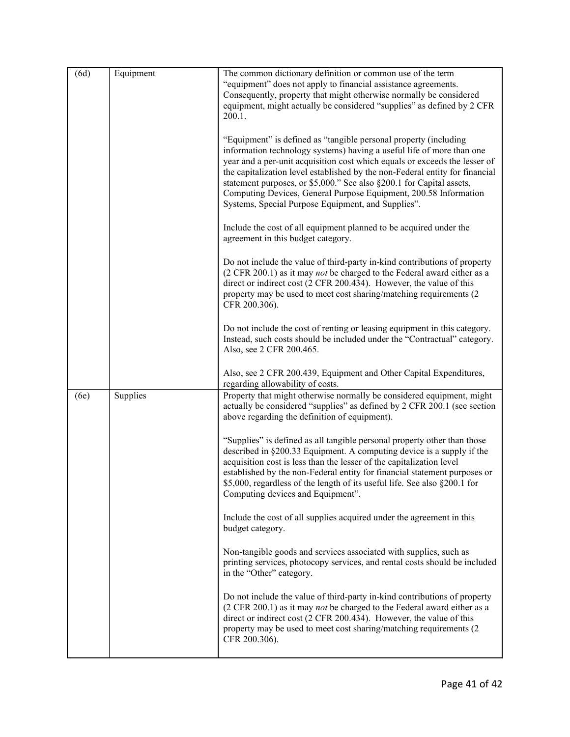| (6d) | Equipment | The common dictionary definition or common use of the term<br>"equipment" does not apply to financial assistance agreements.<br>Consequently, property that might otherwise normally be considered<br>equipment, might actually be considered "supplies" as defined by 2 CFR<br>200.1.<br>"Equipment" is defined as "tangible personal property (including<br>information technology systems) having a useful life of more than one<br>year and a per-unit acquisition cost which equals or exceeds the lesser of<br>the capitalization level established by the non-Federal entity for financial<br>statement purposes, or \$5,000." See also §200.1 for Capital assets,<br>Computing Devices, General Purpose Equipment, 200.58 Information<br>Systems, Special Purpose Equipment, and Supplies".<br>Include the cost of all equipment planned to be acquired under the<br>agreement in this budget category.<br>Do not include the value of third-party in-kind contributions of property<br>(2 CFR 200.1) as it may <i>not</i> be charged to the Federal award either as a<br>direct or indirect cost (2 CFR 200.434). However, the value of this<br>property may be used to meet cost sharing/matching requirements (2)<br>CFR 200.306).<br>Do not include the cost of renting or leasing equipment in this category.<br>Instead, such costs should be included under the "Contractual" category.<br>Also, see 2 CFR 200.465. |
|------|-----------|------------------------------------------------------------------------------------------------------------------------------------------------------------------------------------------------------------------------------------------------------------------------------------------------------------------------------------------------------------------------------------------------------------------------------------------------------------------------------------------------------------------------------------------------------------------------------------------------------------------------------------------------------------------------------------------------------------------------------------------------------------------------------------------------------------------------------------------------------------------------------------------------------------------------------------------------------------------------------------------------------------------------------------------------------------------------------------------------------------------------------------------------------------------------------------------------------------------------------------------------------------------------------------------------------------------------------------------------------------------------------------------------------------------------------------|
|      |           | Also, see 2 CFR 200.439, Equipment and Other Capital Expenditures,<br>regarding allowability of costs.                                                                                                                                                                                                                                                                                                                                                                                                                                                                                                                                                                                                                                                                                                                                                                                                                                                                                                                                                                                                                                                                                                                                                                                                                                                                                                                             |
| (6e) | Supplies  | Property that might otherwise normally be considered equipment, might<br>actually be considered "supplies" as defined by 2 CFR 200.1 (see section<br>above regarding the definition of equipment).                                                                                                                                                                                                                                                                                                                                                                                                                                                                                                                                                                                                                                                                                                                                                                                                                                                                                                                                                                                                                                                                                                                                                                                                                                 |
|      |           | "Supplies" is defined as all tangible personal property other than those<br>described in §200.33 Equipment. A computing device is a supply if the<br>acquisition cost is less than the lesser of the capitalization level<br>established by the non-Federal entity for financial statement purposes or<br>\$5,000, regardless of the length of its useful life. See also §200.1 for<br>Computing devices and Equipment".                                                                                                                                                                                                                                                                                                                                                                                                                                                                                                                                                                                                                                                                                                                                                                                                                                                                                                                                                                                                           |
|      |           | Include the cost of all supplies acquired under the agreement in this<br>budget category.                                                                                                                                                                                                                                                                                                                                                                                                                                                                                                                                                                                                                                                                                                                                                                                                                                                                                                                                                                                                                                                                                                                                                                                                                                                                                                                                          |
|      |           | Non-tangible goods and services associated with supplies, such as<br>printing services, photocopy services, and rental costs should be included<br>in the "Other" category.                                                                                                                                                                                                                                                                                                                                                                                                                                                                                                                                                                                                                                                                                                                                                                                                                                                                                                                                                                                                                                                                                                                                                                                                                                                        |
|      |           | Do not include the value of third-party in-kind contributions of property<br>$(2 \text{ CFR } 200.1)$ as it may <i>not</i> be charged to the Federal award either as a<br>direct or indirect cost (2 CFR 200.434). However, the value of this<br>property may be used to meet cost sharing/matching requirements (2)<br>CFR 200.306).                                                                                                                                                                                                                                                                                                                                                                                                                                                                                                                                                                                                                                                                                                                                                                                                                                                                                                                                                                                                                                                                                              |